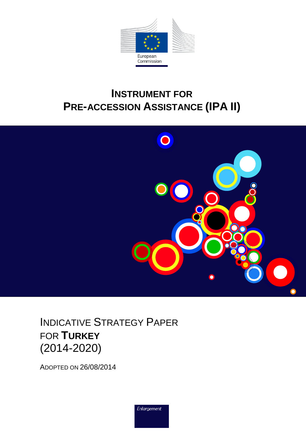

# **INSTRUMENT FOR PRE-ACCESSION ASSISTANCE (IPA II)**



INDICATIVE STRATEGY PAPER FOR **TURKEY** (2014-2020)

ADOPTED ON 26/08/2014

Enlargement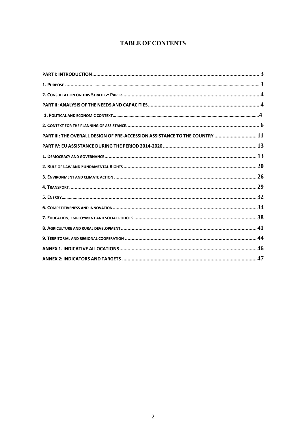### **TABLE OF CONTENTS**

| PART III: THE OVERALL DESIGN OF PRE-ACCESSION ASSISTANCE TO THE COUNTRY  11 |  |
|-----------------------------------------------------------------------------|--|
|                                                                             |  |
|                                                                             |  |
|                                                                             |  |
|                                                                             |  |
|                                                                             |  |
|                                                                             |  |
|                                                                             |  |
|                                                                             |  |
|                                                                             |  |
|                                                                             |  |
|                                                                             |  |
|                                                                             |  |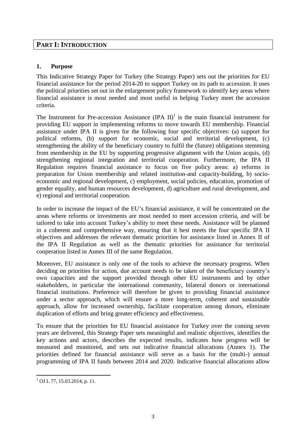### **PART I: INTRODUCTION**

### **1. Purpose**

This Indicative Strategy Paper for Turkey (the Strategy Paper) sets out the priorities for EU financial assistance for the period 2014-20 to support Turkey on its path to accession. It uses the political priorities set out in the enlargement policy framework to identify key areas where financial assistance is most needed and most useful in helping Turkey meet the accession criteria.

The Instrument for Pre-accession Assistance  $(IPA II)^1$  is the main financial instrument for providing EU support in implementing reforms to move towards EU membership. Financial assistance under IPA II is given for the following four specific objectives: (a) support for political reforms, (b) support for economic, social and territorial development, (c) strengthening the ability of the beneficiary country to fulfil the (future) obligations stemming from membership in the EU by supporting progressive alignment with the Union acquis, (d) strengthening regional integration and territorial cooperation. Furthermore, the IPA II Regulation requires financial assistance to focus on five policy areas: a) reforms in preparation for Union membership and related institution-and capacity-building, b) socioeconomic and regional development, c) employment, social policies, education, promotion of gender equality, and human resources development, d) agriculture and rural development, and e) regional and territorial cooperation.

In order to increase the impact of the EU's financial assistance, it will be concentrated on the areas where reforms or investments are most needed to meet accession criteria, and will be tailored to take into account Turkey's ability to meet these needs. Assistance will be planned in a coherent and comprehensive way, ensuring that it best meets the four specific IPA II objectives and addresses the relevant thematic priorities for assistance listed in Annex II of the IPA II Regulation as well as the thematic priorities for assistance for territorial cooperation listed in Annex III of the same Regulation.

Moreover, EU assistance is only one of the tools to achieve the necessary progress. When deciding on priorities for action, due account needs to be taken of the beneficiary country's own capacities and the support provided through other EU instruments and by other stakeholders, in particular the international community, bilateral donors or international financial institutions. Preference will therefore be given to providing financial assistance under a sector approach, which will ensure a more long-term, coherent and sustainable approach, allow for increased ownership, facilitate cooperation among donors, eliminate duplication of efforts and bring greater efficiency and effectiveness.

To ensure that the priorities for EU financial assistance for Turkey over the coming seven years are delivered, this Strategy Paper sets meaningful and realistic objectives, identifies the key actions and actors, describes the expected results, indicates how progress will be measured and monitored, and sets out indicative financial allocations (Annex 1). The priorities defined for financial assistance will serve as a basis for the (multi-) annual programming of IPA II funds between 2014 and 2020. Indicative financial allocations allow

 $\overline{a}$  $^{1}$  OJ L 77, 15.03.2014, p. 11.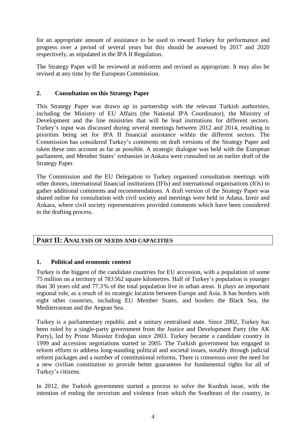for an appropriate amount of assistance to be used to reward Turkey for performance and progress over a period of several years but this should be assessed by 2017 and 2020 respectively, as stipulated in the IPA II Regulation.

The Strategy Paper will be reviewed at mid-term and revised as appropriate. It may also be revised at any time by the European Commission.

### **2. Consultation on this Strategy Paper**

This Strategy Paper was drawn up in partnership with the relevant Turkish authorities, including the Ministry of EU Affairs (the National IPA Coordinator), the Ministry of Development and the line ministries that will be lead institutions for different sectors. Turkey's input was discussed during several meetings between 2012 and 2014, resulting in priorities being set for IPA II financial assistance within the different sectors. The Commission has considered Turkey's comments on draft versions of the Strategy Paper and taken these into account as far as possible. A strategic dialogue was held with the European parliament, and Member States' embassies in Ankara were consulted on an earlier draft of the Strategy Paper.

The Commission and the EU Delegation to Turkey organised consultation meetings with other donors, international financial institutions (IFIs) and international organisations (IOs) to gather additional comments and recommendations. A draft version of the Strategy Paper was shared online for consultation with civil society and meetings were held in Adana, Izmir and Ankara, where civil society representatives provided comments which have been considered in the drafting process.

### **PART II: ANALYSIS OF NEEDS AND CAPACITIES**

#### **1. Political and economic context**

Turkey is the biggest of the candidate countries for EU accession, with a population of some 75 million on a territory of 783 562 square kilometres. Half of Turkey's population is younger than 30 years old and 77.3% of the total population live in urban areas. It plays an important regional role, as a result of its strategic location between Europe and Asia. It has borders with eight other countries, including EU Member States, and borders the Black Sea, the Mediterranean and the Aegean Sea.

Turkey is a parliamentary republic and a unitary centralised state. Since 2002, Turkey has been ruled by a single-party government from the Justice and Development Party (the AK Party), led by Prime Minister Erdoğan since 2003. Turkey became a candidate country in 1999 and accession negotiations started in 2005. The Turkish government has engaged in reform efforts to address long-standing political and societal issues, notably through judicial reform packages and a number of constitutional reforms. There is consensus over the need for a new civilian constitution to provide better guarantees for fundamental rights for all of Turkey's citizens.

In 2012, the Turkish government started a process to solve the Kurdish issue, with the intention of ending the terrorism and violence from which the Southeast of the country, in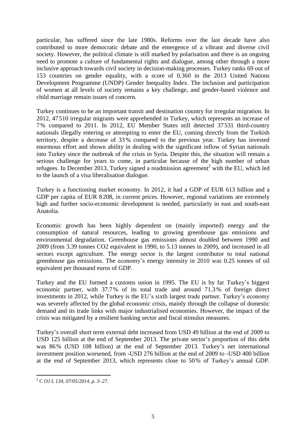particular, has suffered since the late 1980s. Reforms over the last decade have also contributed to more democratic debate and the emergence of a vibrant and diverse civil society. However, the political climate is still marked by polarisation and there is an ongoing need to promote a culture of fundamental rights and dialogue, among other through a more inclusive approach towards civil society in decision-making processes. Turkey ranks 69 out of 153 countries on gender equality, with a score of 0.360 in the 2013 United Nations Development Programme (UNDP) Gender Inequality Index. The inclusion and participation of women at all levels of society remains a key challenge, and gender-based violence and child marriage remain issues of concern.

Turkey continues to be an important transit and destination country for irregular migration. In 2012, 47510 irregular migrants were apprehended in Turkey, which represents an increase of 7% compared to 2011. In 2012, EU Member States still detected 37531 third-country nationals illegally entering or attempting to enter the EU, coming directly from the Turkish territory, despite a decrease of 33 % compared to the previous year. Turkey has invested enormous effort and shown ability in dealing with the significant inflow of Syrian nationals into Turkey since the outbreak of the crisis in Syria. Despite this, the situation will remain a serious challenge for years to come, in particular because of the high number of urban refugees. In December 2013, Turkey signed a readmission agreement<sup>2</sup> with the EU, which led to the launch of a visa liberalisation dialogue.

Turkey is a functioning market economy. In 2012, it had a GDP of EUR 613 billion and a GDP per capita of EUR 8208, in current prices. However, regional variations are extremely high and further socio-economic development is needed, particularly in east and south-east Anatolia.

Economic growth has been highly dependent on (mainly imported) energy and the consumption of natural resources, leading to growing greenhouse gas emissions and environmental degradation. Greenhouse gas emissions almost doubled between 1990 and 2009 (from 3.39 tonnes CO2 equivalent in 1990, to 5.13 tonnes in 2009), and increased in all sectors except agriculture. The energy sector is the largest contributor to total national greenhouse gas emissions. The economy's energy intensity in 2010 was 0.25 tonnes of oil equivalent per thousand euros of GDP.

Turkey and the EU formed a customs union in 1995. The EU is by far Turkey's biggest economic partner, with 37.7% of its total trade and around 71.3% of foreign direct investments in 2012, while Turkey is the EU's sixth largest trade partner. Turkey's economy was severely affected by the global economic crisis, mainly through the collapse of domestic demand and its trade links with major industrialised economies. However, the impact of the crisis was mitigated by a resilient banking sector and fiscal stimulus measures.

Turkey's overall short term external debt increased from USD 49 billion at the end of 2009 to USD 125 billion at the end of September 2013. The private sector's proportion of this debt was 86% (USD 108 billion) at the end of September 2013. Turkey's net international investment position worsened, from -USD 276 billion at the end of 2009 to -USD 400 billion at the end of September 2013, which represents close to 50% of Turkey's annual GDP.

 $\overline{a}$ <sup>2</sup> C *OJ L 134, 07/05/2014, p. 3–27.*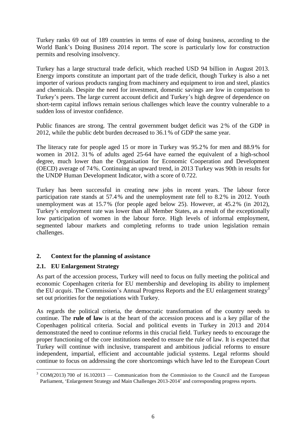Turkey ranks 69 out of 189 countries in terms of ease of doing business, according to the World Bank's Doing Business 2014 report. The score is particularly low for construction permits and resolving insolvency.

Turkey has a large structural trade deficit, which reached USD 94 billion in August 2013. Energy imports constitute an important part of the trade deficit, though Turkey is also a net importer of various products ranging from machinery and equipment to iron and steel, plastics and chemicals. Despite the need for investment, domestic savings are low in comparison to Turkey's peers. The large current account deficit and Turkey's high degree of dependence on short-term capital inflows remain serious challenges which leave the country vulnerable to a sudden loss of investor confidence.

Public finances are strong. The central government budget deficit was 2% of the GDP in 2012, while the public debt burden decreased to 36.1% of GDP the same year.

The literacy rate for people aged 15 or more in Turkey was 95.2% for men and 88.9% for women in 2012. 31% of adults aged 25-64 have earned the equivalent of a high-school degree, much lower than the Organisation for Economic Cooperation and Development (OECD) average of 74%. Continuing an upward trend, in 2013 Turkey was 90th in results for the UNDP Human Development Indicator, with a score of 0.722.

Turkey has been successful in creating new jobs in recent years. The labour force participation rate stands at 57.4% and the unemployment rate fell to 8.2% in 2012. Youth unemployment was at 15.7% (for people aged below 25). However, at 45.2% (in 2012), Turkey's employment rate was lower than all Member States, as a result of the exceptionally low participation of women in the labour force. High levels of informal employment, segmented labour markets and completing reforms to trade union legislation remain challenges.

### **2. Context for the planning of assistance**

### **2.1. EU Enlargement Strategy**

As part of the accession process, Turkey will need to focus on fully meeting the political and economic Copenhagen criteria for EU membership and developing its ability to implement the EU *acquis*. The Commission's Annual Progress Reports and the EU enlargement strategy<sup>3</sup> set out priorities for the negotiations with Turkey.

As regards the political criteria, the democratic transformation of the country needs to continue. The **rule of law** is at the heart of the accession process and is a key pillar of the Copenhagen political criteria. Social and political events in Turkey in 2013 and 2014 demonstrated the need to continue reforms in this crucial field. Turkey needs to encourage the proper functioning of the core institutions needed to ensure the rule of law. It is expected that Turkey will continue with inclusive, transparent and ambitious judicial reforms to ensure independent, impartial, efficient and accountable judicial systems. Legal reforms should continue to focus on addressing the core shortcomings which have led to the European Court

 $\overline{a}$  $3$  COM(2013) 700 of 16.102013 — Communication from the Commission to the Council and the European Parliament, 'Enlargement Strategy and Main Challenges 2013-2014' and corresponding progress reports.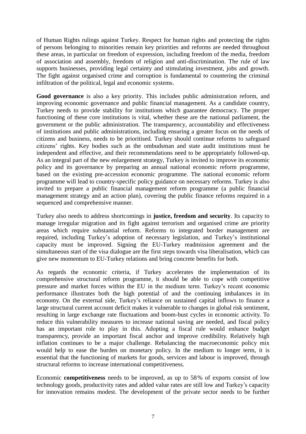of Human Rights rulings against Turkey. Respect for human rights and protecting the rights of persons belonging to minorities remain key priorities and reforms are needed throughout these areas, in particular on freedom of expression, including freedom of the media, freedom of association and assembly, freedom of religion and anti-discrimination. The rule of law supports businesses, providing legal certainty and stimulating investment, jobs and growth. The fight against organised crime and corruption is fundamental to countering the criminal infiltration of the political, legal and economic systems.

**Good governance** is also a key priority. This includes public administration reform, and improving economic governance and public financial management. As a candidate country, Turkey needs to provide stability for institutions which guarantee democracy. The proper functioning of these core institutions is vital, whether these are the national parliament, the government or the public administration. The transparency, accountability and effectiveness of institutions and public administrations, including ensuring a greater focus on the needs of citizens and business, needs to be prioritised. Turkey should continue reforms to safeguard citizens' rights. Key bodies such as the ombudsman and state audit institutions must be independent and effective, and their recommendations need to be appropriately followed-up. As an integral part of the new enlargement strategy, Turkey is invited to improve its economic policy and its governance by preparing an annual national economic reform programme, based on the existing pre-accession economic programme. The national economic reform programme will lead to country-specific policy guidance on necessary reforms. Turkey is also invited to prepare a public financial management reform programme (a public financial management strategy and an action plan), covering the public finance reforms required in a sequenced and comprehensive manner.

Turkey also needs to address shortcomings in **justice, freedom and security**. Its capacity to manage irregular migration and its fight against terrorism and organised crime are priority areas which require substantial reform. Reforms to integrated border management are required, including Turkey's adoption of necessary legislation, and Turkey's institutional capacity must be improved. Signing the EU-Turkey readmission agreement and the simultaneous start of the visa dialogue are the first steps towards visa liberalisation, which can give new momentum to EU-Turkey relations and bring concrete benefits for both.

As regards the economic criteria, if Turkey accelerates the implementation of its comprehensive structural reform programme, it should be able to cope with competitive pressure and market forces within the EU in the medium term. Turkey's recent economic performance illustrates both the high potential of and the continuing imbalances in its economy. On the external side, Turkey's reliance on sustained capital inflows to finance a large structural current account deficit makes it vulnerable to changes in global risk sentiment, resulting in large exchange rate fluctuations and boom-bust cycles in economic activity. To reduce this vulnerability measures to increase national saving are needed, and fiscal policy has an important role to play in this. Adopting a fiscal rule would enhance budget transparency, provide an important fiscal anchor and improve credibility. Relatively high inflation continues to be a major challenge. Rebalancing the macroeconomic policy mix would help to ease the burden on monetary policy. In the medium to longer term, it is essential that the functioning of markets for goods, services and labour is improved, through structural reforms to increase international competitiveness.

Economic **competitiveness** needs to be improved, as up to 58% of exports consist of low technology goods, productivity rates and added value rates are still low and Turkey's capacity for innovation remains modest. The development of the private sector needs to be further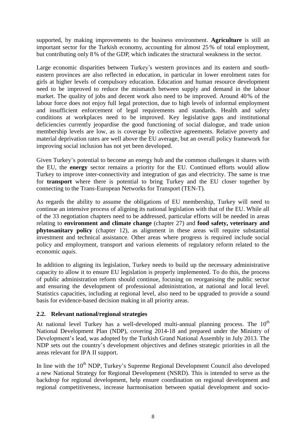supported, by making improvements to the business environment. **Agriculture** is still an important sector for the Turkish economy, accounting for almost 25 % of total employment, but contributing only 8% of the GDP, which indicates the structural weakness in the sector.

Large economic disparities between Turkey's western provinces and its eastern and southeastern provinces are also reflected in education, in particular in lower enrolment rates for girls at higher levels of compulsory education. Education and human resource development need to be improved to reduce the mismatch between supply and demand in the labour market. The quality of jobs and decent work also need to be improved. Around 40% of the labour force does not enjoy full legal protection, due to high levels of informal employment and insufficient enforcement of legal requirements and standards. Health and safety conditions at workplaces need to be improved. Key legislative gaps and institutional deficiencies currently jeopardise the good functioning of social dialogue, and trade union membership levels are low, as is coverage by collective agreements. Relative poverty and material deprivation rates are well above the EU average, but an overall policy framework for improving social inclusion has not yet been developed.

Given Turkey's potential to become an energy hub and the common challenges it shares with the EU, the **energy** sector remains a priority for the EU. Continued efforts would allow Turkey to improve inter-connectivity and integration of gas and electricity. The same is true for **transport** where there is potential to bring Turkey and the EU closer together by connecting to the Trans-European Networks for Transport (TEN-T).

As regards the ability to assume the obligations of EU membership, Turkey will need to continue an intensive process of aligning its national legislation with that of the EU. While all of the 33 negotiation chapters need to be addressed, particular efforts will be needed in areas relating to **environment and climate change** (chapter 27) and **food safety, veterinary and phytosanitary policy** (chapter 12), as alignment in these areas will require substantial investment and technical assistance. Other areas where progress is required include social policy and employment, transport and various elements of regulatory reform related to the economic *aquis*.

In addition to aligning its legislation, Turkey needs to build up the necessary administrative capacity to allow it to ensure EU legislation is properly implemented. To do this, the process of public administration reform should continue, focusing on reorganising the public sector and ensuring the development of professional administration, at national and local level. Statistics capacities, including at regional level, also need to be upgraded to provide a sound basis for evidence-based decision making in all priority areas.

### **2.2. Relevant national/regional strategies**

At national level Turkey has a well-developed multi-annual planning process. The  $10<sup>th</sup>$ National Development Plan (NDP), covering 2014-18 and prepared under the Ministry of Development's lead, was adopted by the Turkish Grand National Assembly in July 2013. The NDP sets out the country's development objectives and defines strategic priorities in all the areas relevant for IPA II support.

In line with the  $10<sup>th</sup> NDP$ , Turkey's Supreme Regional Development Council also developed a new National Strategy for Regional Development (NSRD). This is intended to serve as the backdrop for regional development, help ensure coordination on regional development and regional competitiveness, increase harmonisation between spatial development and socio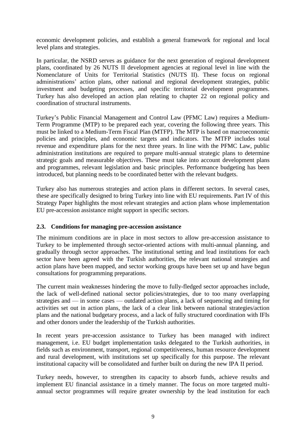economic development policies, and establish a general framework for regional and local level plans and strategies.

In particular, the NSRD serves as guidance for the next generation of regional development plans, coordinated by 26 NUTS II development agencies at regional level in line with the Nomenclature of Units for Territorial Statistics (NUTS II). These focus on regional administrations' action plans, other national and regional development strategies, public investment and budgeting processes, and specific territorial development programmes. Turkey has also developed an action plan relating to chapter 22 on regional policy and coordination of structural instruments.

Turkey's Public Financial Management and Control Law (PFMC Law) requires a Medium-Term Programme (MTP) to be prepared each year, covering the following three years. This must be linked to a Medium-Term Fiscal Plan (MTFP). The MTP is based on macroeconomic policies and principles, and economic targets and indicators. The MTFP includes total revenue and expenditure plans for the next three years. In line with the PFMC Law, public administration institutions are required to prepare multi-annual strategic plans to determine strategic goals and measurable objectives. These must take into account development plans and programmes, relevant legislation and basic principles. Performance budgeting has been introduced, but planning needs to be coordinated better with the relevant budgets.

Turkey also has numerous strategies and action plans in different sectors. In several cases, these are specifically designed to bring Turkey into line with EU requirements. Part IV of this Strategy Paper highlights the most relevant strategies and action plans whose implementation EU pre-accession assistance might support in specific sectors.

### **2.3. Conditions for managing pre-accession assistance**

The minimum conditions are in place in most sectors to allow pre-accession assistance to Turkey to be implemented through sector-oriented actions with multi-annual planning, and gradually through sector approaches. The institutional setting and lead institutions for each sector have been agreed with the Turkish authorities, the relevant national strategies and action plans have been mapped, and sector working groups have been set up and have begun consultations for programming preparations.

The current main weaknesses hindering the move to fully-fledged sector approaches include, the lack of well-defined national sector policies/strategies, due to too many overlapping strategies and — in some cases — outdated action plans, a lack of sequencing and timing for activities set out in action plans, the lack of a clear link between national strategies/action plans and the national budgetary process, and a lack of fully structured coordination with IFIs and other donors under the leadership of the Turkish authorities.

In recent years pre-accession assistance to Turkey has been managed with indirect management, i.e. EU budget implementation tasks delegated to the Turkish authorities, in fields such as environment, transport, regional competitiveness, human resource development and rural development, with institutions set up specifically for this purpose. The relevant institutional capacity will be consolidated and further built on during the new IPA II period.

Turkey needs, however, to strengthen its capacity to absorb funds, achieve results and implement EU financial assistance in a timely manner. The focus on more targeted multiannual sector programmes will require greater ownership by the lead institution for each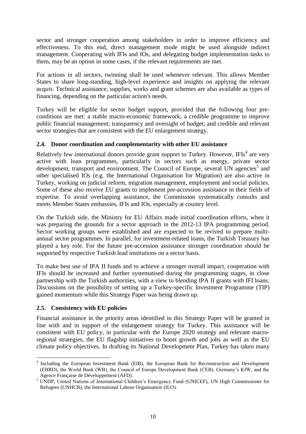sector and stronger cooperation among stakeholders in order to improve efficiency and effectiveness. To this end, direct management mode might be used alongside indirect management. Cooperating with IFIs and IOs, and delegating budget implementation tasks to them, may be an option in some cases, if the relevant requirements are met.

For actions in all sectors, twinning shall be used whenever relevant. This allows Member States to share long-standing, high-level experience and insights on applying the relevant *acquis*. Technical assistance, supplies, works and grant schemes are also available as types of financing, depending on the particular action's needs.

Turkey will be eligible for sector budget support, provided that the following four preconditions are met: a stable macro-economic framework; a credible programme to improve public financial management; transparency and oversight of budget; and credible and relevant sector strategies that are consistent with the EU enlargement strategy.

### **2.4. Donor coordination and complementarity with other EU assistance**

Relatively few international donors provide grant support to Turkey. However, IFIs<sup>4</sup> are very active with loan programmes, particularly in sectors such as energy, private sector development, transport and environment. The Council of Europe, several UN agencies<sup>5</sup> and other specialised IOs (e.g. the International Organisation for Migration) are also active in Turkey, working on judicial reform, migration management, employment and social policies. Some of these also receive EU grants to implement pre-accession assistance in their fields of expertise. To avoid overlapping assistance, the Commission systematically consults and meets Member States embassies, IFIs and IOs, especially at country level.

On the Turkish side, the Ministry for EU Affairs made initial coordination efforts, when it was preparing the grounds for a sector approach in the 2012-13 IPA programming period. Sector working groups were established and are expected to be revived to prepare multiannual sector programmes. In parallel, for investment-related loans, the Turkish Treasury has played a key role. For the future pre-accession assistance stronger coordination should be supported by respective Turkish lead institutions on a sector basis.

To make best use of IPA II funds and to achieve a stronger overall impact, cooperation with IFIs should be increased and further systematised during the programming stages, in close partnership with the Turkish authorities, with a view to blending IPA II grants with IFI loans. Discussions on the possibility of setting up a Turkey-specific Investment Programme (TIP) gained momentum while this Strategy Paper was being drawn up.

### **2.5. Consistency with EU policies**

Financial assistance in the priority areas identified in this Strategy Paper will be granted in line with and in support of the enlargement strategy for Turkey. This assistance will be consistent with EU policy, in particular with the Europe 2020 strategy and relevant macroregional strategies, the EU flagship initiatives to boost growth and jobs as well as the EU climate policy objectives. In drafting its National Development Plan, Turkey has taken many

 $\overline{a}$ <sup>4</sup> Including the European Investment Bank (EIB), the European Bank for Reconstruction and Development (EBRD), the World Bank (WB), the Council of Europe Development Bank (CEB), Germany's KfW, and the Agence Française de Développement (AFD).

<sup>5</sup> UNDP, United Nations of International Children's Emergency Fund (UNICEF), UN High Commissioner for Refugees (UNHCR), the International Labour Organisation (ILO).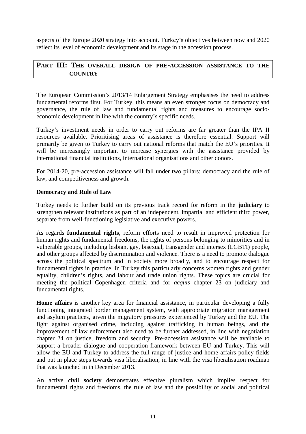aspects of the Europe 2020 strategy into account. Turkey's objectives between now and 2020 reflect its level of economic development and its stage in the accession process.

### **PART III: THE OVERALL DESIGN OF PRE-ACCESSION ASSISTANCE TO THE COUNTRY**

The European Commission's 2013/14 Enlargement Strategy emphasises the need to address fundamental reforms first. For Turkey, this means an even stronger focus on democracy and governance, the rule of law and fundamental rights and measures to encourage socioeconomic development in line with the country's specific needs.

Turkey's investment needs in order to carry out reforms are far greater than the IPA II resources available. Prioritising areas of assistance is therefore essential. Support will primarily be given to Turkey to carry out national reforms that match the EU's priorities. It will be increasingly important to increase synergies with the assistance provided by international financial institutions, international organisations and other donors.

For 2014-20, pre-accession assistance will fall under two pillars: democracy and the rule of law, and competitiveness and growth.

#### **Democracy and Rule of Law**

Turkey needs to further build on its previous track record for reform in the **judiciary** to strengthen relevant institutions as part of an independent, impartial and efficient third power, separate from well-functioning legislative and executive powers.

As regards **fundamental rights**, reform efforts need to result in improved protection for human rights and fundamental freedoms, the rights of persons belonging to minorities and in vulnerable groups, including lesbian, gay, bisexual, transgender and intersex (LGBTI) people, and other groups affected by discrimination and violence. There is a need to promote dialogue across the political spectrum and in society more broadly, and to encourage respect for fundamental rights in practice. In Turkey this particularly concerns women rights and gender equality, children's rights, and labour and trade union rights. These topics are crucial for meeting the political Copenhagen criteria and for *acquis* chapter 23 on judiciary and fundamental rights.

**Home affairs** is another key area for financial assistance, in particular developing a fully functioning integrated border management system, with appropriate migration management and asylum practices, given the migratory pressures experienced by Turkey and the EU. The fight against organised crime, including against trafficking in human beings, and the improvement of law enforcement also need to be further addressed, in line with negotiation chapter 24 on justice, freedom and security. Pre-accession assistance will be available to support a broader dialogue and cooperation framework between EU and Turkey. This will allow the EU and Turkey to address the full range of justice and home affairs policy fields and put in place steps towards visa liberalisation, in line with the visa liberalisation roadmap that was launched in in December 2013.

An active **civil society** demonstrates effective pluralism which implies respect for fundamental rights and freedoms, the rule of law and the possibility of social and political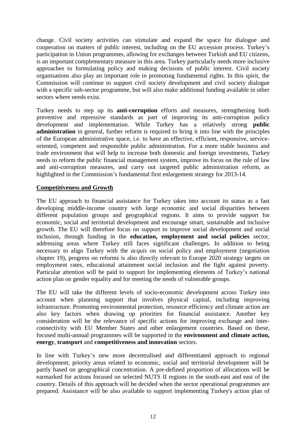change. Civil society activities can stimulate and expand the space for dialogue and cooperation on matters of public interest, including on the EU accession process. Turkey's participation in Union programmes, allowing for exchanges between Turkish and EU citizens, is an important complementary measure in this area. Turkey particularly needs more inclusive approaches to formulating policy and making decisions of public interest. Civil society organisations also play an important role in promoting fundamental rights. In this spirit, the Commission will continue to support civil society development and civil society dialogue with a specific sub-sector programme, but will also make additional funding available in other sectors where needs exist.

Turkey needs to step up its **anti-corruption** efforts and measures, strengthening both preventive and repressive standards as part of improving its anti-corruption policy development and implementation. While Turkey has a relatively strong **public administration** in general, further reform is required to bring it into line with the principles of the European administrative space, i.e. to have an effective, efficient, responsive, serviceoriented, competent and responsible public administration. For a more stable business and trade environment that will help to increase both domestic and foreign investments, Turkey needs to reform the public financial management system, improve its focus on the rule of law and anti-corruption measures, and carry out targeted public administration reform, as highlighted in the Commission's fundamental first enlargement strategy for 2013-14.

#### **Competitiveness and Growth**

The EU approach to financial assistance for Turkey takes into account its status as a fast developing middle-income country with large economic and social disparities between different population groups and geographical regions. It aims to provide support for economic, social and territorial development and encourage smart, sustainable and inclusive growth. The EU will therefore focus on support to improve social development and social inclusion, through funding in the **education, employment and social policies** sector, addressing areas where Turkey still faces significant challenges. In addition to being necessary to align Turkey with the *acquis* on social policy and employment (negotiation chapter 19), progress on reforms is also directly relevant to Europe 2020 strategy targets on employment rates, educational attainment social inclusion and the fight against poverty. Particular attention will be paid to support for implementing elements of Turkey's national action plan on gender equality and for meeting the needs of vulnerable groups.

The EU will take the different levels of socio-economic development across Turkey into account when planning support that involves physical capital, including improving infrastructure. Promoting environmental protection, resource efficiency and climate action are also key factors when drawing up priorities for financial assistance. Another key consideration will be the relevance of specific actions for improving exchange and interconnectivity with EU Member States and other enlargement countries. Based on these, focused multi-annual programmes will be supported in the **environment and climate action, energy**, **transport** and **competitiveness and innovation** sectors.

In line with Turkey's new more decentralised and differentiated approach to regional development, priority areas related to economic, social and territorial development will be partly based on geographical concentration. A pre-defined proportion of allocations will be earmarked for actions focused on selected NUTS II regions in the south-east and east of the country. Details of this approach will be decided when the sector operational programmes are prepared. Assistance will be also available to support implementing Turkey's action plan of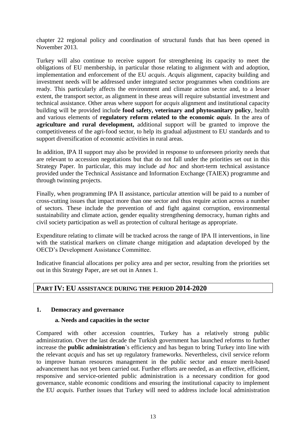chapter 22 regional policy and coordination of structural funds that has been opened in November 2013.

Turkey will also continue to receive support for strengthening its capacity to meet the obligations of EU membership, in particular those relating to alignment with and adoption, implementation and enforcement of the EU *acquis*. *Acquis* alignment, capacity building and investment needs will be addressed under integrated sector programmes when conditions are ready. This particularly affects the environment and climate action sector and, to a lesser extent, the transport sector, as alignment in these areas will require substantial investment and technical assistance. Other areas where support for *acquis* alignment and institutional capacity building will be provided include **food safety, veterinary and phytosanitary policy**, health and various elements of **regulatory reform related to the economic** *aquis*. In the area of **agriculture and rural development,** additional support will be granted to improve the competitiveness of the agri-food sector, to help its gradual adjustment to EU standards and to support diversification of economic activities in rural areas.

In addition, IPA II support may also be provided in response to unforeseen priority needs that are relevant to accession negotiations but that do not fall under the priorities set out in this Strategy Paper. In particular, this may include *ad hoc* and short-term technical assistance provided under the Technical Assistance and Information Exchange (TAIEX) programme and through twinning projects.

Finally, when programming IPA II assistance, particular attention will be paid to a number of cross-cutting issues that impact more than one sector and thus require action across a number of sectors. These include the prevention of and fight against corruption, environmental sustainability and climate action, gender equality strengthening democracy, human rights and civil society participation as well as protection of cultural heritage as appropriate.

Expenditure relating to climate will be tracked across the range of IPA II interventions, in line with the statistical markers on climate change mitigation and adaptation developed by the OECD's Development Assistance Committee.

Indicative financial allocations per policy area and per sector, resulting from the priorities set out in this Strategy Paper, are set out in Annex 1.

### **PART IV: EU ASSISTANCE DURING THE PERIOD 2014-2020**

#### **1. Democracy and governance**

#### **a. Needs and capacities in the sector**

Compared with other accession countries, Turkey has a relatively strong public administration. Over the last decade the Turkish government has launched reforms to further increase the **public administration**'s efficiency and has begun to bring Turkey into line with the relevant *acquis* and has set up regulatory frameworks. Nevertheless, civil service reform to improve human resources management in the public sector and ensure merit-based advancement has not yet been carried out. Further efforts are needed, as an effective, efficient, responsive and service-oriented public administration is a necessary condition for good governance, stable economic conditions and ensuring the institutional capacity to implement the EU *acquis.* Further issues that Turkey will need to address include local administration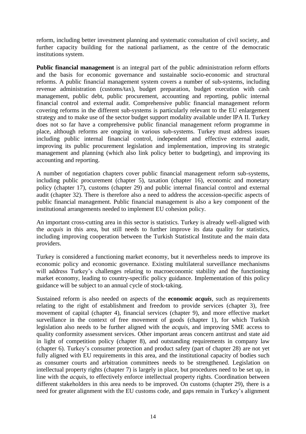reform, including better investment planning and systematic consultation of civil society, and further capacity building for the national parliament, as the centre of the democratic institutions system.

**Public financial management** is an integral part of the public administration reform efforts and the basis for economic governance and sustainable socio-economic and structural reforms. A public financial management system covers a number of sub-systems, including revenue administration (customs/tax), budget preparation, budget execution with cash management, public debt, public procurement, accounting and reporting, public internal financial control and external audit. Comprehensive public financial management reform covering reforms in the different sub-systems is particularly relevant to the EU enlargement strategy and to make use of the sector budget support modality available under IPA II. Turkey does not so far have a comprehensive public financial management reform programme in place, although reforms are ongoing in various sub-systems. Turkey must address issues including public internal financial control, independent and effective external audit, improving its public procurement legislation and implementation, improving its strategic management and planning (which also link policy better to budgeting), and improving its accounting and reporting.

A number of negotiation chapters cover public financial management reform sub-systems, including public procurement (chapter 5), taxation (chapter 16), economic and monetary policy (chapter 17), customs (chapter 29) and public internal financial control and external audit (chapter 32). There is therefore also a need to address the accession-specific aspects of public financial management. Public financial management is also a key component of the institutional arrangements needed to implement EU cohesion policy.

An important cross-cutting area in this sector is statistics. Turkey is already well-aligned with the *acquis* in this area, but still needs to further improve its data quality for statistics, including improving cooperation between the Turkish Statistical Institute and the main data providers.

Turkey is considered a functioning market economy, but it nevertheless needs to improve its economic policy and economic governance. Existing multilateral surveillance mechanisms will address Turkey's challenges relating to macroeconomic stability and the functioning market economy, leading to country-specific policy guidance. Implementation of this policy guidance will be subject to an annual cycle of stock-taking.

Sustained reform is also needed on aspects of the **economic** *acquis*, such as requirements relating to the right of establishment and freedom to provide services (chapter 3), free movement of capital (chapter 4), financial services (chapter 9), and more effective market surveillance in the context of free movement of goods (chapter 1), for which Turkish legislation also needs to be further aligned with the *acquis,* and improving SME access to quality conformity assessment services. Other important areas concern antitrust and state aid in light of competition policy (chapter 8), and outstanding requirements in company law (chapter 6). Turkey's consumer protection and product safety (part of chapter 28) are not yet fully aligned with EU requirements in this area, and the institutional capacity of bodies such as consumer courts and arbitration committees needs to be strengthened. Legislation on intellectual property rights (chapter 7) is largely in place, but procedures need to be set up, in line with the *acquis*, to effectively enforce intellectual property rights. Coordination between different stakeholders in this area needs to be improved. On customs (chapter 29), there is a need for greater alignment with the EU customs code, and gaps remain in Turkey's alignment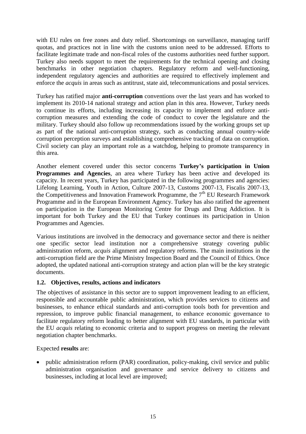with EU rules on free zones and duty relief. Shortcomings on surveillance, managing tariff quotas, and practices not in line with the customs union need to be addressed. Efforts to facilitate legitimate trade and non-fiscal roles of the customs authorities need further support. Turkey also needs support to meet the requirements for the technical opening and closing benchmarks in other negotiation chapters. Regulatory reform and well-functioning, independent regulatory agencies and authorities are required to effectively implement and enforce the *acquis* in areas such as antitrust, state aid, telecommunications and postal services.

Turkey has ratified major **anti-corruption** conventions over the last years and has worked to implement its 2010-14 national strategy and action plan in this area. However, Turkey needs to continue its efforts, including increasing its capacity to implement and enforce anticorruption measures and extending the code of conduct to cover the legislature and the military. Turkey should also follow up recommendations issued by the working groups set up as part of the national anti-corruption strategy, such as conducting annual country-wide corruption perception surveys and establishing comprehensive tracking of data on corruption. Civil society can play an important role as a watchdog, helping to promote transparency in this area.

Another element covered under this sector concerns **Turkey's participation in Union Programmes and Agencies**, an area where Turkey has been active and developed its capacity. In recent years, Turkey has participated in the following programmes and agencies: Lifelong Learning, Youth in Action, Culture 2007-13, Customs 2007-13, Fiscalis 2007-13, the Competitiveness and Innovation Framework Programme, the  $7<sup>th</sup>$  EU Research Framework Programme and in the European Environment Agency. Turkey has also ratified the agreement on participation in the European Monitoring Centre for Drugs and Drug Addiction. It is important for both Turkey and the EU that Turkey continues its participation in Union Programmes and Agencies.

Various institutions are involved in the democracy and governance sector and there is neither one specific sector lead institution nor a comprehensive strategy covering public administration reform, *acquis* alignment and regulatory reforms. The main institutions in the anti-corruption field are the Prime Ministry Inspection Board and the Council of Ethics. Once adopted, the updated national anti-corruption strategy and action plan will be the key strategic documents.

### **1.2. Objectives, results, actions and indicators**

The objectives of assistance in this sector are to support improvement leading to an efficient, responsible and accountable public administration, which provides services to citizens and businesses, to enhance ethical standards and anti-corruption tools both for prevention and repression, to improve public financial management, to enhance economic governance to facilitate regulatory reform leading to better alignment with EU standards, in particular with the EU *acquis* relating to economic criteria and to support progress on meeting the relevant negotiation chapter benchmarks.

### Expected **results** are:

 public administration reform (PAR) coordination, policy-making, civil service and public administration organisation and governance and service delivery to citizens and businesses, including at local level are improved;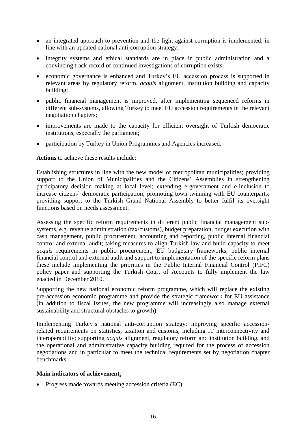- an integrated approach to prevention and the fight against corruption is implemented, in line with an updated national anti-corruption strategy;
- integrity systems and ethical standards are in place in public administration and a convincing track record of continued investigations of corruption exists;
- economic governance is enhanced and Turkey's EU accession process is supported in relevant areas by regulatory reform, *acquis* alignment, institution building and capacity building;
- public financial management is improved, after implementing sequenced reforms in different sub-systems, allowing Turkey to meet EU accession requirements in the relevant negotiation chapters;
- improvements are made to the capacity for efficient oversight of Turkish democratic institutions, especially the parliament;
- participation by Turkey in Union Programmes and Agencies increased.

**Actions** to achieve these results include:

Establishing structures in line with the new model of metropolitan municipalities; providing support to the Union of Municipalities and the Citizens' Assemblies in strengthening participatory decision making at local level; extending e-government and e-inclusion to increase citizens' democratic participation; promoting town-twinning with EU counterparts; providing support to the Turkish Grand National Assembly to better fulfil its oversight functions based on needs assessment.

Assessing the specific reform requirements in different public financial management subsystems, e.g. revenue administration (tax/customs), budget preparation, budget execution with cash management, public procurement, accounting and reporting, public internal financial control and external audit; taking measures to align Turkish law and build capacity to meet *acquis* requirements in public procurement, EU budgetary frameworks, public internal financial control and external audit and support to implementation of the specific reform plans these include implementing the priorities in the Public Internal Financial Control (PIFC) policy paper and supporting the Turkish Court of Accounts to fully implement the law enacted in December 2010.

Supporting the new national economic reform programme, which will replace the existing pre-accession economic programme and provide the strategic framework for EU assistance (in addition to fiscal issues, the new programme will increasingly also manage external sustainability and structural obstacles to growth).

Implementing Turkey's national anti-corruption strategy; improving specific accessionrelated requirements on statistics, taxation and customs, including IT interconnectivity and interoperability; supporting *acquis* alignment, regulatory reform and institution building, and the operational and administrative capacity building required for the process of accession negotiations and in particular to meet the technical requirements set by negotiation chapter benchmarks.

#### **Main indicators of achievement**:

• Progress made towards meeting accession criteria (EC);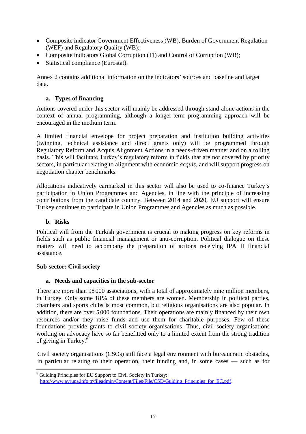- Composite indicator Government Effectiveness (WB), Burden of Government Regulation (WEF) and Regulatory Quality (WB);
- Composite indicators Global Corruption (TI) and Control of Corruption (WB);
- Statistical compliance (Eurostat).

Annex 2 contains additional information on the indicators' sources and baseline and target data.

### **a. Types of financing**

Actions covered under this sector will mainly be addressed through stand-alone actions in the context of annual programming, although a longer-term programming approach will be encouraged in the medium term.

A limited financial envelope for project preparation and institution building activities (twinning, technical assistance and direct grants only) will be programmed through Regulatory Reform and Acquis Alignment Actions in a needs-driven manner and on a rolling basis. This will facilitate Turkey's regulatory reform in fields that are not covered by priority sectors, in particular relating to alignment with economic *acquis*, and will support progress on negotiation chapter benchmarks.

Allocations indicatively earmarked in this sector will also be used to co-finance Turkey's participation in Union Programmes and Agencies, in line with the principle of increasing contributions from the candidate country. Between 2014 and 2020, EU support will ensure Turkey continues to participate in Union Programmes and Agencies as much as possible.

### **b. Risks**

 $\overline{a}$ 

Political will from the Turkish government is crucial to making progress on key reforms in fields such as public financial management or anti-corruption. Political dialogue on these matters will need to accompany the preparation of actions receiving IPA II financial assistance.

#### **Sub-sector: Civil society**

### **a. Needs and capacities in the sub-sector**

There are more than 98 000 associations, with a total of approximately nine million members, in Turkey. Only some 18% of these members are women. Membership in political parties, chambers and sports clubs is most common, but religious organisations are also popular. In addition, there are over 5 000 foundations. Their operations are mainly financed by their own resources and/or they raise funds and use them for charitable purposes. Few of these foundations provide grants to civil society organisations. Thus, civil society organisations working on advocacy have so far benefitted only to a limited extent from the strong tradition of giving in Turkey.<sup>6</sup>

Civil society organisations (CSOs) still face a legal environment with bureaucratic obstacles, in particular relating to their operation, their funding and, in some cases — such as for

 $6$  Guiding Principles for EU Support to Civil Society in Turkey: [http://www.avrupa.info.tr/fileadmin/Content/Files/File/CSD/Guiding\\_Principles\\_for\\_EC.pdf.](http://www.avrupa.info.tr/fileadmin/Content/Files/File/CSD/Guiding_Principles_for_EC.pdf)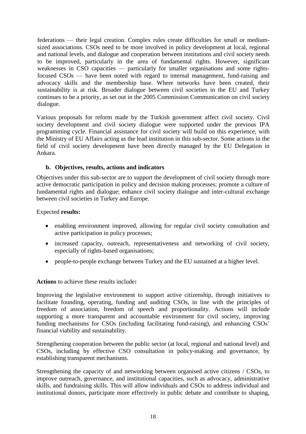federations — their legal creation. Complex rules create difficulties for small or mediumsized associations. CSOs need to be more involved in policy development at local, regional and national levels, and dialogue and cooperation between institutions and civil society needs to be improved, particularly in the area of fundamental rights. However, significant weaknesses in CSO capacities — particularly for smaller organisations and some rightsfocused CSOs — have been noted with regard to internal management, fund-raising and advocacy skills and the membership base. Where networks have been created, their sustainability is at risk. Broader dialogue between civil societies in the EU and Turkey continues to be a priority, as set out in the 2005 Commission Communication on civil society dialogue.

Various proposals for reform made by the Turkish government affect civil society. Civil society development and civil society dialogue were supported under the previous IPA programming cycle. Financial assistance for civil society will build on this experience, with the Ministry of EU Affairs acting as the lead institution in this sub-sector. Some actions in the field of civil society development have been directly managed by the EU Delegation in Ankara.

### **b. Objectives, results, actions and indicators**

Objectives under this sub-sector are to support the development of civil society through more active democratic participation in policy and decision making processes; promote a culture of fundamental rights and dialogue; enhance civil society dialogue and inter-cultural exchange between civil societies in Turkey and Europe.

### Expected **results:**

- enabling environment improved, allowing for regular civil society consultation and active participation in policy processes;
- increased capacity, outreach, representativeness and networking of civil society, especially of rights-based organisations;
- people-to-people exchange between Turkey and the EU sustained at a higher level.

### **Actions** to achieve these results include**:**

Improving the legislative environment to support active citizenship, through initiatives to facilitate founding, operating, funding and auditing CSOs, in line with the principles of freedom of association, freedom of speech and proportionality. Actions will include supporting a more transparent and accountable environment for civil society, improving funding mechanisms for CSOs (including facilitating fund-raising), and enhancing CSOs' financial viability and sustainability.

Strengthening cooperation between the public sector (at local, regional and national level) and CSOs, including by effective CSO consultation in policy-making and governance, by establishing transparent mechanisms.

Strengthening the capacity of and networking between organised active citizens / CSOs, to improve outreach, governance, and institutional capacities, such as advocacy, administrative skills, and fundraising skills. This will allow individuals and CSOs to address individual and institutional donors, participate more effectively in public debate and contribute to shaping,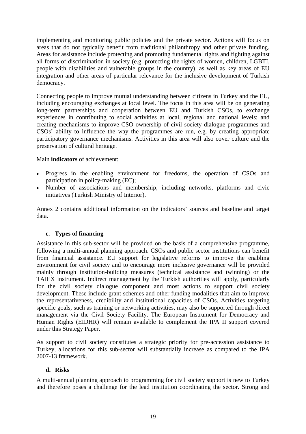implementing and monitoring public policies and the private sector. Actions will focus on areas that do not typically benefit from traditional philanthropy and other private funding. Areas for assistance include protecting and promoting fundamental rights and fighting against all forms of discrimination in society (e.g. protecting the rights of women, children, LGBTI, people with disabilities and vulnerable groups in the country), as well as key areas of EU integration and other areas of particular relevance for the inclusive development of Turkish democracy.

Connecting people to improve mutual understanding between citizens in Turkey and the EU, including encouraging exchanges at local level. The focus in this area will be on generating long-term partnerships and cooperation between EU and Turkish CSOs, to exchange experiences in contributing to social activities at local, regional and national levels; and creating mechanisms to improve CSO ownership of civil society dialogue programmes and CSOs' ability to influence the way the programmes are run, e.g. by creating appropriate participatory governance mechanisms. Activities in this area will also cover culture and the preservation of cultural heritage.

### Main **indicators** of achievement:

- Progress in the enabling environment for freedoms, the operation of CSOs and participation in policy-making (EC);
- Number of associations and membership, including networks, platforms and civic initiatives (Turkish Ministry of Interior).

Annex 2 contains additional information on the indicators' sources and baseline and target data.

#### **c. Types of financing**

Assistance in this sub-sector will be provided on the basis of a comprehensive programme, following a multi-annual planning approach. CSOs and public sector institutions can benefit from financial assistance. EU support for legislative reforms to improve the enabling environment for civil society and to encourage more inclusive governance will be provided mainly through institution-building measures (technical assistance and twinning) or the TAIEX instrument. Indirect management by the Turkish authorities will apply, particularly for the civil society dialogue component and most actions to support civil society development. These include grant schemes and other funding modalities that aim to improve the representativeness, credibility and institutional capacities of CSOs. Activities targeting specific goals, such as training or networking activities, may also be supported through direct management via the Civil Society Facility. The European Instrument for Democracy and Human Rights (EIDHR) will remain available to complement the IPA II support covered under this Strategy Paper.

As support to civil society constitutes a strategic priority for pre-accession assistance to Turkey, allocations for this sub-sector will substantially increase as compared to the IPA 2007-13 framework.

#### **d. Risks**

A multi-annual planning approach to programming for civil society support is new to Turkey and therefore poses a challenge for the lead institution coordinating the sector. Strong and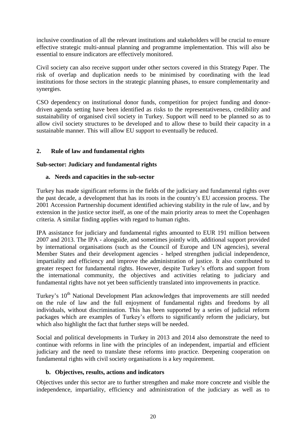inclusive coordination of all the relevant institutions and stakeholders will be crucial to ensure effective strategic multi-annual planning and programme implementation. This will also be essential to ensure indicators are effectively monitored.

Civil society can also receive support under other sectors covered in this Strategy Paper. The risk of overlap and duplication needs to be minimised by coordinating with the lead institutions for those sectors in the strategic planning phases, to ensure complementarity and synergies.

CSO dependency on institutional donor funds, competition for project funding and donordriven agenda setting have been identified as risks to the representativeness, credibility and sustainability of organised civil society in Turkey. Support will need to be planned so as to allow civil society structures to be developed and to allow these to build their capacity in a sustainable manner. This will allow EU support to eventually be reduced.

### **2. Rule of law and fundamental rights**

### **Sub-sector: Judiciary and fundamental rights**

### **a. Needs and capacities in the sub-sector**

Turkey has made significant reforms in the fields of the judiciary and fundamental rights over the past decade, a development that has its roots in the country's EU accession process. The 2001 Accession Partnership document identified achieving stability in the rule of law, and by extension in the justice sector itself, as one of the main priority areas to meet the Copenhagen criteria. A similar finding applies with regard to human rights.

IPA assistance for judiciary and fundamental rights amounted to EUR 191 million between 2007 and 2013. The IPA - alongside, and sometimes jointly with, additional support provided by international organisations (such as the Council of Europe and UN agencies), several Member States and their development agencies - helped strengthen judicial independence, impartiality and efficiency and improve the administration of justice. It also contributed to greater respect for fundamental rights. However, despite Turkey's efforts and support from the international community, the objectives and activities relating to judiciary and fundamental rights have not yet been sufficiently translated into improvements in practice.

Turkey's 10<sup>th</sup> National Development Plan acknowledges that improvements are still needed on the rule of law and the full enjoyment of fundamental rights and freedoms by all individuals, without discrimination. This has been supported by a series of judicial reform packages which are examples of Turkey's efforts to significantly reform the judiciary, but which also highlight the fact that further steps will be needed.

Social and political developments in Turkey in 2013 and 2014 also demonstrate the need to continue with reforms in line with the principles of an independent, impartial and efficient judiciary and the need to translate these reforms into practice. Deepening cooperation on fundamental rights with civil society organisations is a key requirement.

### **b. Objectives, results, actions and indicators**

Objectives under this sector are to further strengthen and make more concrete and visible the independence, impartiality, efficiency and administration of the judiciary as well as to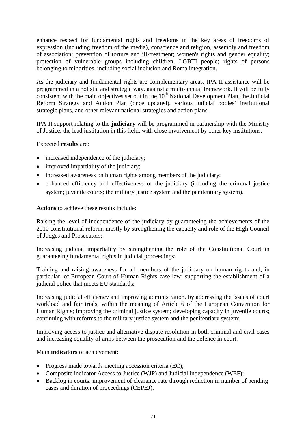enhance respect for fundamental rights and freedoms in the key areas of freedoms of expression (including freedom of the media), conscience and religion, assembly and freedom of association; prevention of torture and ill-treatment; women's rights and gender equality; protection of vulnerable groups including children, LGBTI people; rights of persons belonging to minorities, including social inclusion and Roma integration.

As the judiciary and fundamental rights are complementary areas, IPA II assistance will be programmed in a holistic and strategic way, against a multi-annual framework. It will be fully consistent with the main objectives set out in the 10<sup>th</sup> National Development Plan, the Judicial Reform Strategy and Action Plan (once updated), various judicial bodies' institutional strategic plans, and other relevant national strategies and action plans.

IPA II support relating to the **judiciary** will be programmed in partnership with the Ministry of Justice, the lead institution in this field, with close involvement by other key institutions.

Expected **results** are:

- increased independence of the judiciary;
- improved impartiality of the judiciary;
- increased awareness on human rights among members of the judiciary;
- enhanced efficiency and effectiveness of the judiciary (including the criminal justice system; juvenile courts; the military justice system and the penitentiary system).

**Actions** to achieve these results include:

Raising the level of independence of the judiciary by guaranteeing the achievements of the 2010 constitutional reform, mostly by strengthening the capacity and role of the High Council of Judges and Prosecutors;

Increasing judicial impartiality by strengthening the role of the Constitutional Court in guaranteeing fundamental rights in judicial proceedings;

Training and raising awareness for all members of the judiciary on human rights and, in particular, of European Court of Human Rights case-law; supporting the establishment of a judicial police that meets EU standards;

Increasing judicial efficiency and improving administration, by addressing the issues of court workload and fair trials, within the meaning of Article 6 of the European Convention for Human Rights; improving the criminal justice system; developing capacity in juvenile courts; continuing with reforms to the military justice system and the penitentiary system;

Improving access to justice and alternative dispute resolution in both criminal and civil cases and increasing equality of arms between the prosecution and the defence in court.

#### Main **indicators** of achievement:

- Progress made towards meeting accession criteria (EC);
- Composite indicator Access to Justice (WJP) and Judicial independence (WEF);
- Backlog in courts: improvement of clearance rate through reduction in number of pending cases and duration of proceedings (CEPEJ).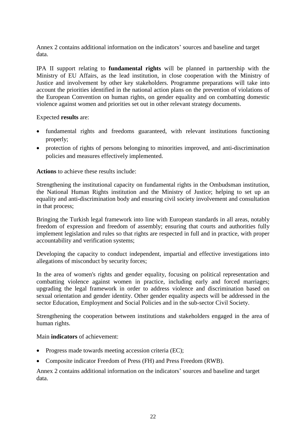Annex 2 contains additional information on the indicators' sources and baseline and target data.

IPA II support relating to **fundamental rights** will be planned in partnership with the Ministry of EU Affairs, as the lead institution, in close cooperation with the Ministry of Justice and involvement by other key stakeholders. Programme preparations will take into account the priorities identified in the national action plans on the prevention of violations of the European Convention on human rights, on gender equality and on combatting domestic violence against women and priorities set out in other relevant strategy documents.

Expected **results** are:

- fundamental rights and freedoms guaranteed, with relevant institutions functioning properly;
- protection of rights of persons belonging to minorities improved, and anti-discrimination policies and measures effectively implemented.

**Actions** to achieve these results include:

Strengthening the institutional capacity on fundamental rights in the Ombudsman institution, the National Human Rights institution and the Ministry of Justice; helping to set up an equality and anti-discrimination body and ensuring civil society involvement and consultation in that process;

Bringing the Turkish legal framework into line with European standards in all areas, notably freedom of expression and freedom of assembly; ensuring that courts and authorities fully implement legislation and rules so that rights are respected in full and in practice, with proper accountability and verification systems;

Developing the capacity to conduct independent, impartial and effective investigations into allegations of misconduct by security forces;

In the area of women's rights and gender equality, focusing on political representation and combatting violence against women in practice, including early and forced marriages; upgrading the legal framework in order to address violence and discrimination based on sexual orientation and gender identity. Other gender equality aspects will be addressed in the sector Education, Employment and Social Policies and in the sub-sector Civil Society.

Strengthening the cooperation between institutions and stakeholders engaged in the area of human rights.

Main **indicators** of achievement:

- Progress made towards meeting accession criteria (EC);
- Composite indicator Freedom of Press (FH) and Press Freedom (RWB).

Annex 2 contains additional information on the indicators' sources and baseline and target data.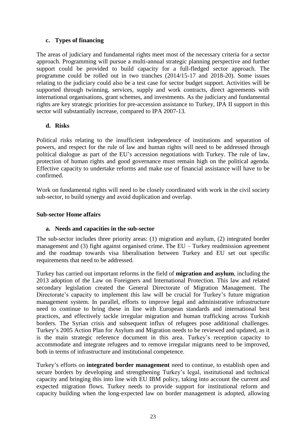### **c. Types of financing**

The areas of judiciary and fundamental rights meet most of the necessary criteria for a sector approach. Programming will pursue a multi-annual strategic planning perspective and further support could be provided to build capacity for a full-fledged sector approach. The programme could be rolled out in two tranches (2014/15-17 and 2018-20). Some issues relating to the judiciary could also be a test case for sector budget support. Activities will be supported through twinning, services, supply and work contracts, direct agreements with international organisations, grant schemes, and investments. As the judiciary and fundamental rights are key strategic priorities for pre-accession assistance to Turkey, IPA II support in this sector will substantially increase, compared to IPA 2007-13.

### **d. Risks**

Political risks relating to the insufficient independence of institutions and separation of powers, and respect for the rule of law and human rights will need to be addressed through political dialogue as part of the EU's accession negotiations with Turkey. The rule of law, protection of human rights and good governance must remain high on the political agenda. Effective capacity to undertake reforms and make use of financial assistance will have to be confirmed.

Work on fundamental rights will need to be closely coordinated with work in the civil society sub-sector, to build synergy and avoid duplication and overlap.

### **Sub-sector Home affairs**

### **a. Needs and capacities in the sub-sector**

The sub-sector includes three priority areas: (1) migration and asylum, (2) integrated border management and (3) fight against organised crime. The EU – Turkey readmission agreement and the roadmap towards visa liberalisation between Turkey and EU set out specific requirements that need to be addressed.

Turkey has carried out important reforms in the field of **migration and asylum**, including the 2013 adoption of the Law on Foreigners and International Protection. This law and related secondary legislation created the General Directorate of Migration Management. The Directorate's capacity to implement this law will be crucial for Turkey's future migration management system. In parallel, efforts to improve legal and administrative infrastructure need to continue to bring these in line with European standards and international best practices, and effectively tackle irregular migration and human trafficking across Turkish borders. The Syrian crisis and subsequent influx of refugees pose additional challenges. Turkey's 2005 Action Plan for Asylum and Migration needs to be reviewed and updated, as it is the main strategic reference document in this area. Turkey's reception capacity to accommodate and integrate refugees and to remove irregular migrants need to be improved, both in terms of infrastructure and institutional competence.

Turkey's efforts on **integrated border management** need to continue, to establish open and secure borders by developing and strengthening Turkey's legal, institutional and technical capacity and bringing this into line with EU IBM policy, taking into account the current and expected migration flows. Turkey needs to provide support for institutional reform and capacity building when the long-expected law on border management is adopted, allowing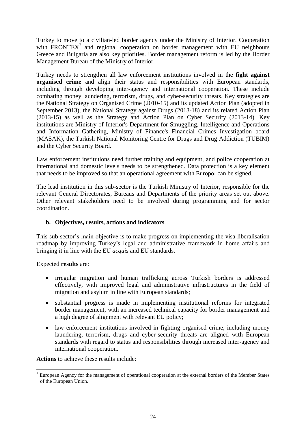Turkey to move to a civilian-led border agency under the Ministry of Interior. Cooperation with FRONTEX<sup>7</sup> and regional cooperation on border management with EU neighbours Greece and Bulgaria are also key priorities. Border management reform is led by the Border Management Bureau of the Ministry of Interior.

Turkey needs to strengthen all law enforcement institutions involved in the **fight against organised crime** and align their status and responsibilities with European standards, including through developing inter-agency and international cooperation. These include combating money laundering, terrorism, drugs, and cyber-security threats. Key strategies are the National Strategy on Organised Crime (2010-15) and its updated Action Plan (adopted in September 2013), the National Strategy against Drugs (2013-18) and its related Action Plan (2013-15) as well as the Strategy and Action Plan on Cyber Security (2013-14). Key institutions are Ministry of Interior's Department for Smuggling, Intelligence and Operations and Information Gathering, Ministry of Finance's Financial Crimes Investigation board (MASAK), the Turkish National Monitoring Centre for Drugs and Drug Addiction (TUBIM) and the Cyber Security Board.

Law enforcement institutions need further training and equipment, and police cooperation at international and domestic levels needs to be strengthened. Data protection is a key element that needs to be improved so that an operational agreement with Europol can be signed.

The lead institution in this sub-sector is the Turkish Ministry of Interior, responsible for the relevant General Directorates, Bureaus and Departments of the priority areas set out above. Other relevant stakeholders need to be involved during programming and for sector coordination.

### **b. Objectives, results, actions and indicators**

This sub-sector's main objective is to make progress on implementing the visa liberalisation roadmap by improving Turkey's legal and administrative framework in home affairs and bringing it in line with the EU *acquis* and EU standards.

Expected **results** are:

- irregular migration and human trafficking across Turkish borders is addressed effectively, with improved legal and administrative infrastructures in the field of migration and asylum in line with European standards;
- substantial progress is made in implementing institutional reforms for integrated border management, with an increased technical capacity for border management and a high degree of alignment with relevant EU policy;
- law enforcement institutions involved in fighting organised crime, including money laundering, terrorism, drugs and cyber-security threats are aligned with European standards with regard to status and responsibilities through increased inter-agency and international cooperation.

**Actions** to achieve these results include:

 $\overline{a}$  $7$  European Agency for the management of operational cooperation at the external borders of the Member States of the European Union.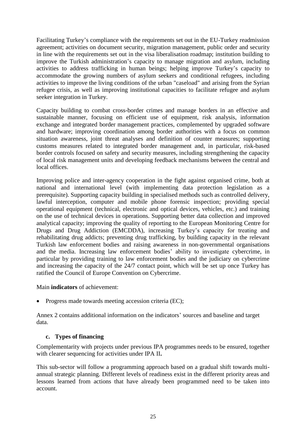Facilitating Turkey's compliance with the requirements set out in the EU-Turkey readmission agreement; activities on document security, migration management, public order and security in line with the requirements set out in the visa liberalisation roadmap; institution building to improve the Turkish administration's capacity to manage migration and asylum, including activities to address trafficking in human beings; helping improve Turkey's capacity to accommodate the growing numbers of asylum seekers and conditional refugees, including activities to improve the living conditions of the urban "caseload" and arising from the Syrian refugee crisis, as well as improving institutional capacities to facilitate refugee and asylum seeker integration in Turkey.

Capacity building to combat cross-border crimes and manage borders in an effective and sustainable manner, focusing on efficient use of equipment, risk analysis, information exchange and integrated border management practices, complemented by upgraded software and hardware; improving coordination among border authorities with a focus on common situation awareness, joint threat analyses and definition of counter measures; supporting customs measures related to integrated border management and, in particular, risk-based border controls focused on safety and security measures, including strengthening the capacity of local risk management units and developing feedback mechanisms between the central and local offices.

Improving police and inter-agency cooperation in the fight against organised crime, both at national and international level (with implementing data protection legislation as a prerequisite). Supporting capacity building in specialised methods such as controlled delivery, lawful interception, computer and mobile phone forensic inspection; providing special operational equipment (technical, electronic and optical devices, vehicles, etc.) and training on the use of technical devices in operations. Supporting better data collection and improved analytical capacity; improving the quality of reporting to the European Monitoring Centre for Drugs and Drug Addiction (EMCDDA), increasing Turkey's capacity for treating and rehabilitating drug addicts; preventing drug trafficking, by building capacity in the relevant Turkish law enforcement bodies and raising awareness in non-governmental organisations and the media. Increasing law enforcement bodies' ability to investigate cybercrime, in particular by providing training to law enforcement bodies and the judiciary on cybercrime and increasing the capacity of the 24/7 contact point, which will be set up once Turkey has ratified the Council of Europe Convention on Cybercrime.

Main **indicators** of achievement:

• Progress made towards meeting accession criteria (EC);

Annex 2 contains additional information on the indicators' sources and baseline and target data.

### **c. Types of financing**

Complementarity with projects under previous IPA programmes needs to be ensured, together with clearer sequencing for activities under IPA II**.**

This sub-sector will follow a programming approach based on a gradual shift towards multiannual strategic planning. Different levels of readiness exist in the different priority areas and lessons learned from actions that have already been programmed need to be taken into account.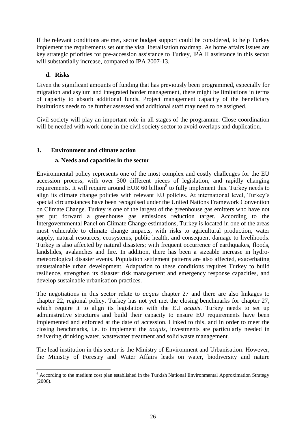If the relevant conditions are met, sector budget support could be considered, to help Turkey implement the requirements set out the visa liberalisation roadmap. As home affairs issues are key strategic priorities for pre-accession assistance to Turkey, IPA II assistance in this sector will substantially increase, compared to IPA 2007-13.

### **d. Risks**

Given the significant amounts of funding that has previously been programmed, especially for migration and asylum and integrated border management, there might be limitations in terms of capacity to absorb additional funds. Project management capacity of the beneficiary institutions needs to be further assessed and additional staff may need to be assigned.

Civil society will play an important role in all stages of the programme. Close coordination will be needed with work done in the civil society sector to avoid overlaps and duplication.

### **3. Environment and climate action**

### **a. Needs and capacities in the sector**

Environmental policy represents one of the most complex and costly challenges for the EU accession process, with over 300 different pieces of legislation, and rapidly changing requirements. It will require around EUR 60 billion<sup>8</sup> to fully implement this. Turkey needs to align its climate change policies with relevant EU policies. At international level, Turkey's special circumstances have been recognised under the United Nations Framework Convention on Climate Change. Turkey is one of the largest of the greenhouse gas emitters who have not yet put forward a greenhouse gas emissions reduction target. According to the Intergovernmental Panel on Climate Change estimations, Turkey is located in one of the areas most vulnerable to climate change impacts, with risks to agricultural production, water supply, natural resources, ecosystems, public health, and consequent damage to livelihoods. Turkey is also affected by natural disasters; with frequent occurrence of earthquakes, floods, landslides, avalanches and fire. In addition, there has been a sizeable increase in hydrometeorological disaster events. Population settlement patterns are also affected, exacerbating unsustainable urban development. Adaptation to these conditions requires Turkey to build resilience, strengthen its disaster risk management and emergency response capacities, and develop sustainable urbanisation practices.

The negotiations in this sector relate to *acquis* chapter 27 and there are also linkages to chapter 22, regional policy. Turkey has not yet met the closing benchmarks for chapter 27, which require it to align its legislation with the EU *acquis*. Turkey needs to set up administrative structures and build their capacity to ensure EU requirements have been implemented and enforced at the date of accession. Linked to this, and in order to meet the closing benchmarks, i.e. to implement the *acquis*, investments are particularly needed in delivering drinking water, wastewater treatment and solid waste management.

The lead institution in this sector is the Ministry of Environment and Urbanisation. However, the Ministry of Forestry and Water Affairs leads on water, biodiversity and nature

 $\overline{a}$ <sup>8</sup> According to the medium cost plan established in the Turkish National Environmental Approximation Strategy (2006).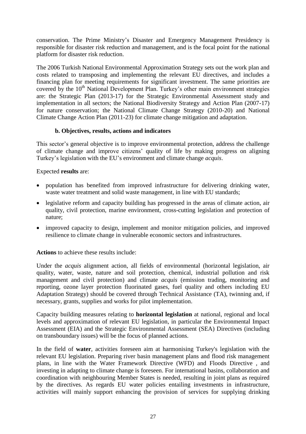conservation. The Prime Ministry's Disaster and Emergency Management Presidency is responsible for disaster risk reduction and management, and is the focal point for the national platform for disaster risk reduction.

The 2006 Turkish National Environmental Approximation Strategy sets out the work plan and costs related to transposing and implementing the relevant EU directives, and includes a financing plan for meeting requirements for significant investment. The same priorities are covered by the 10<sup>th</sup> National Development Plan. Turkey's other main environment strategies are: the Strategic Plan (2013-17) for the Strategic Environmental Assessment study and implementation in all sectors; the National Biodiversity Strategy and Action Plan (2007-17) for nature conservation; the National Climate Change Strategy (2010-20) and National Climate Change Action Plan (2011-23) for climate change mitigation and adaptation.

#### **b. Objectives, results, actions and indicators**

This sector's general objective is to improve environmental protection, address the challenge of climate change and improve citizens' quality of life by making progress on aligning Turkey's legislation with the EU's environment and climate change *acquis*.

Expected **results** are:

- population has benefited from improved infrastructure for delivering drinking water, waste water treatment and solid waste management, in line with EU standards;
- legislative reform and capacity building has progressed in the areas of climate action, air quality, civil protection, marine environment, cross-cutting legislation and protection of nature;
- improved capacity to design, implement and monitor mitigation policies, and improved resilience to climate change in vulnerable economic sectors and infrastructures.

**Actions** to achieve these results include:

Under the *acquis* alignment action, all fields of environmental (horizontal legislation, air quality, water, waste, nature and soil protection, chemical, industrial pollution and risk management and civil protection) and climate *acquis* (emission trading, monitoring and reporting, ozone layer protection fluorinated gases, fuel quality and others including EU Adaptation Strategy) should be covered through Technical Assistance (TA), twinning and, if necessary, grants, supplies and works for pilot implementation.

Capacity building measures relating to **horizontal legislation** at national, regional and local levels and approximation of relevant EU legislation, in particular the Environmental Impact Assessment (EIA) and the Strategic Environmental Assessment (SEA) Directives (including on transboundary issues) will be the focus of planned actions.

In the field of **water**, activities foreseen aim at harmonising Turkey's legislation with the relevant EU legislation. Preparing river basin management plans and flood risk management plans, in line with the Water Framework Directive (WFD) and Floods Directive , and investing in adapting to climate change is foreseen. For international basins, collaboration and coordination with neighbouring Member States is needed, resulting in joint plans as required by the directives. As regards EU water policies entailing investments in infrastructure, activities will mainly support enhancing the provision of services for supplying drinking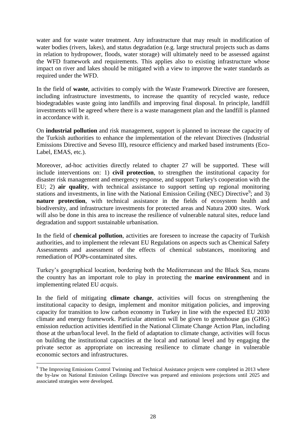water and for waste water treatment. Any infrastructure that may result in modification of water bodies (rivers, lakes), and status degradation (e.g. large structural projects such as dams in relation to hydropower, floods, water storage) will ultimately need to be assessed against the WFD framework and requirements. This applies also to existing infrastructure whose impact on river and lakes should be mitigated with a view to improve the water standards as required under the WFD.

In the field of **waste**, activities to comply with the Waste Framework Directive are foreseen, including infrastructure investments, to increase the quantity of recycled waste, reduce biodegradables waste going into landfills and improving final disposal. In principle, landfill investments will be agreed where there is a waste management plan and the landfill is planned in accordance with it.

On **industrial pollution** and risk management, support is planned to increase the capacity of the Turkish authorities to enhance the implementation of the relevant Directives (Industrial Emissions Directive and Seveso III), resource efficiency and marked based instruments (Eco-Label, EMAS, etc.).

Moreover, ad-hoc activities directly related to chapter 27 will be supported. These will include interventions on: 1) **civil protection**, to strengthen the institutional capacity for disaster risk management and emergency response, and support Turkey's cooperation with the EU; 2) **air quality**, with technical assistance to support setting up regional monitoring stations and investments, in line with the National Emission Ceiling (NEC) Directive<sup>9</sup>; and 3) **nature protection**, with technical assistance in the fields of ecosystem health and biodiversity, and infrastructure investments for protected areas and Natura 2000 sites. Work will also be done in this area to increase the resilience of vulnerable natural sites, reduce land degradation and support sustainable urbanisation.

In the field of **chemical pollution**, activities are foreseen to increase the capacity of Turkish authorities, and to implement the relevant EU Regulations on aspects such as Chemical Safety Assessments and assessment of the effects of chemical substances, monitoring and remediation of POPs-contaminated sites.

Turkey's geographical location, bordering both the Mediterranean and the Black Sea, means the country has an important role to play in protecting the **marine environment** and in implementing related EU *acquis*.

In the field of mitigating **climate change**, activities will focus on strengthening the institutional capacity to design, implement and monitor mitigation policies, and improving capacity for transition to low carbon economy in Turkey in line with the expected EU 2030 climate and energy framework. Particular attention will be given to greenhouse gas (GHG) emission reduction activities identified in the National Climate Change Action Plan, including those at the urban/local level. In the field of adaptation to climate change, activities will focus on building the institutional capacities at the local and national level and by engaging the private sector as appropriate on increasing resilience to climate change in vulnerable economic sectors and infrastructures.

 $\overline{a}$ 

 $9$  The Improving Emissions Control Twinning and Technical Assistance projects were completed in 2013 where the by-law on National Emission Ceilings Directive was prepared and emissions projections until 2025 and associated strategies were developed.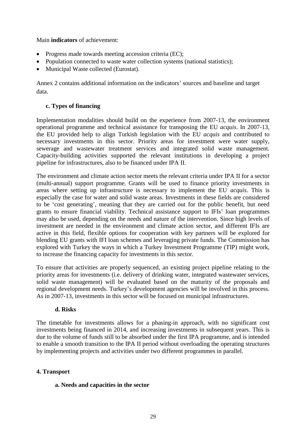Main **indicators** of achievement:

- Progress made towards meeting accession criteria (EC);
- Population connected to waste water collection systems (national statistics);
- Municipal Waste collected (Eurostat).

Annex 2 contains additional information on the indicators' sources and baseline and target data.

### **c. Types of financing**

Implementation modalities should build on the experience from 2007-13, the environment operational programme and technical assistance for transposing the EU *acquis*. In 2007-13, the EU provided help to align Turkish legislation with the EU *acquis* and contributed to necessary investments in this sector. Priority areas for investment were water supply, sewerage and wastewater treatment services and integrated solid waste management. Capacity-building activities supported the relevant institutions in developing a project pipeline for infrastructures, also to be financed under IPA II.

The environment and climate action sector meets the relevant criteria under IPA II for a sector (multi-annual) support programme. Grants will be used to finance priority investments in areas where setting up infrastructure is necessary to implement the EU *acquis*. This is especially the case for water and solid waste areas. Investments in these fields are considered to be 'cost generating', meaning that they are carried out for the public benefit, but need grants to ensure financial viability. Technical assistance support to IFIs' loan programmes may also be used, depending on the needs and nature of the intervention. Since high levels of investment are needed in the environment and climate action sector, and different IFIs are active in this field, flexible options for cooperation with key partners will be explored for blending EU grants with IFI loan schemes and leveraging private funds. The Commission has explored with Turkey the ways in which a Turkey Investment Programme (TIP) might work, to increase the financing capacity for investments in this sector.

To ensure that activities are properly sequenced, an existing project pipeline relating to the priority areas for investments (i.e. delivery of drinking water, integrated wastewater services, solid waste management) will be evaluated based on the maturity of the proposals and regional development needs. Turkey's development agencies will be involved in this process. As in 2007-13, investments in this sector will be focused on municipal infrastructures.

### **d. Risks**

The timetable for investments allows for a phasing-in approach, with no significant cost investments being financed in 2014, and increasing investments in subsequent years. This is due to the volume of funds still to be absorbed under the first IPA programme, and is intended to enable a smooth transition to the IPA II period without overloading the operating structures by implementing projects and activities under two different programmes in parallel.

### **4. Transport**

### **a. Needs and capacities in the sector**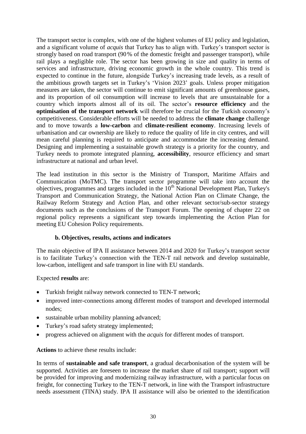The transport sector is complex, with one of the highest volumes of EU policy and legislation, and a significant volume of *acquis* that Turkey has to align with. Turkey's transport sector is strongly based on road transport (90% of the domestic freight and passenger transport), while rail plays a negligible role. The sector has been growing in size and quality in terms of services and infrastructure, driving economic growth in the whole country. This trend is expected to continue in the future, alongside Turkey's increasing trade levels, as a result of the ambitious growth targets set in Turkey's 'Vision 2023' goals. Unless proper mitigation measures are taken, the sector will continue to emit significant amounts of greenhouse gases, and its proportion of oil consumption will increase to levels that are unsustainable for a country which imports almost all of its oil. The sector's **resource efficiency** and the **optimisation of the transport network** will therefore be crucial for the Turkish economy's competitiveness. Considerable efforts will be needed to address the **climate change** challenge and to move towards a **low-carbon** and **climate-resilient economy**. Increasing levels of urbanisation and car ownership are likely to reduce the quality of life in city centres, and will mean careful planning is required to anticipate and accommodate the increasing demand. Designing and implementing a sustainable growth strategy is a priority for the country, and Turkey needs to promote integrated planning, **accessibility**, resource efficiency and smart infrastructure at national and urban level.

The lead institution in this sector is the Ministry of Transport, Maritime Affairs and Communication (MoTMC). The transport sector programme will take into account the objectives, programmes and targets included in the  $10<sup>th</sup>$  National Development Plan, Turkey's Transport and Communication Strategy, the National Action Plan on Climate Change, the Railway Reform Strategy and Action Plan, and other relevant sector/sub-sector strategy documents such as the conclusions of the Transport Forum. The opening of chapter 22 on regional policy represents a significant step towards implementing the Action Plan for meeting EU Cohesion Policy requirements.

### **b. Objectives, results, actions and indicators**

The main objective of IPA II assistance between 2014 and 2020 for Turkey's transport sector is to facilitate Turkey's connection with the TEN-T rail network and develop sustainable, low-carbon, intelligent and safe transport in line with EU standards.

#### Expected **results** are:

- Turkish freight railway network connected to TEN-T network;
- improved inter-connections among different modes of transport and developed intermodal nodes;
- sustainable urban mobility planning advanced;
- Turkey's road safety strategy implemented;
- progress achieved on alignment with the *acquis* for different modes of transport.

#### **Actions** to achieve these results include:

In terms of **sustainable and safe transport**, a gradual decarbonisation of the system will be supported. Activities are foreseen to increase the market share of rail transport; support will be provided for improving and modernizing railway infrastructure, with a particular focus on freight, for connecting Turkey to the TEN-T network, in line with the Transport infrastructure needs assessment (TINA) study. IPA II assistance will also be oriented to the identification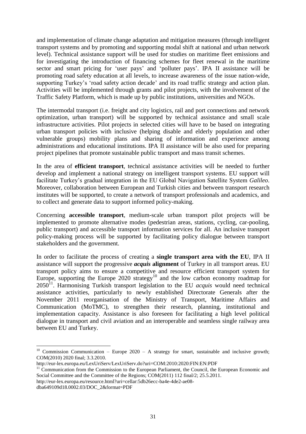and implementation of climate change adaptation and mitigation measures (through intelligent transport systems and by promoting and supporting modal shift at national and urban network level). Technical assistance support will be used for studies on maritime fleet emissions and for investigating the introduction of financing schemes for fleet renewal in the maritime sector and smart pricing for 'user pays' and 'polluter pays'. IPA II assistance will be promoting road safety education at all levels, to increase awareness of the issue nation-wide, supporting Turkey's 'road safety action decade' and its road traffic strategy and action plan. Activities will be implemented through grants and pilot projects, with the involvement of the Traffic Safety Platform, which is made up by public institutions, universities and NGOs.

The intermodal transport (i.e. freight and city logistics, rail and port connections and network optimization, urban transport) will be supported by technical assistance and small scale infrastructure activities. Pilot projects in selected cities will have to be based on integrating urban transport policies with inclusive (helping disable and elderly population and other vulnerable groups) mobility plans and sharing of information and experience among administrations and educational institutions. IPA II assistance will be also used for preparing project pipelines that promote sustainable public transport and mass transit schemes.

In the area of **efficient transport**, technical assistance activities will be needed to further develop and implement a national strategy on intelligent transport systems. EU support will facilitate Turkey's gradual integration in the EU Global Navigation Satellite System *Galileo*. Moreover, collaboration between European and Turkish cities and between transport research institutes will be supported, to create a network of transport professionals and academics, and to collect and generate data to support informed policy-making.

Concerning **accessible transport**, medium-scale urban transport pilot projects will be implemented to promote alternative modes (pedestrian areas, stations, cycling, car-pooling, public transport) and accessible transport information services for all. An inclusive transport policy-making process will be supported by facilitating policy dialogue between transport stakeholders and the government.

In order to facilitate the process of creating a **single transport area with the EU**, IPA II assistance will support the progressive *acquis* **alignment** of Turkey in all transport areas. EU transport policy aims to ensure a competitive and resource efficient transport system for Europe, supporting the Europe 2020 strategy<sup>10</sup> and the low carbon economy roadmap for  $2050<sup>11</sup>$ . Harmonising Turkish transport legislation to the EU *acquis* would need technical assistance activities, particularly to newly established Directorate Generals after the November 2011 reorganisation of the Ministry of Transport, Maritime Affairs and Communication (MoTMC), to strengthen their research, planning, institutional and implementation capacity. Assistance is also foreseen for facilitating a high level political dialogue in transport and civil aviation and an interoperable and seamless single railway area between EU and Turkey.

 $\overline{a}$ 

<sup>&</sup>lt;sup>10</sup> Commission Communication – Europe 2020 – A strategy for smart, sustainable and inclusive growth; COM(2010) 2020 final; 3.3.2010.

http://eur-lex.europa.eu/LexUriServ/LexUriServ.do?uri=COM:2010:2020:FIN:EN:PDF

 $11$  Communication from the Commission to the European Parliament, the Council, the European Economic and Social Committee and the Committee of the Regions; COM(2011) 112 final/2; 25.5.2011.

http://eur-lex.europa.eu/resource.html?uri=cellar:5db26ecc-ba4e-4de2-ae08-

dba649109d18.0002.03/DOC\_2&format=PDF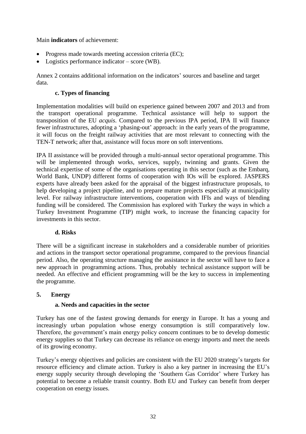### Main **indicators** of achievement:

- Progress made towards meeting accession criteria (EC);
- Logistics performance indicator score (WB).

Annex 2 contains additional information on the indicators' sources and baseline and target data.

### **c. Types of financing**

Implementation modalities will build on experience gained between 2007 and 2013 and from the transport operational programme. Technical assistance will help to support the transposition of the EU *acquis*. Compared to the previous IPA period, IPA II will finance fewer infrastructures, adopting a 'phasing-out' approach: in the early years of the programme, it will focus on the freight railway activities that are most relevant to connecting with the TEN-T network; after that, assistance will focus more on soft interventions.

IPA II assistance will be provided through a multi-annual sector operational programme. This will be implemented through works, services, supply, twinning and grants. Given the technical expertise of some of the organisations operating in this sector (such as the Embarq, World Bank, UNDP) different forms of cooperation with IOs will be explored. JASPERS experts have already been asked for the appraisal of the biggest infrastructure proposals, to help developing a project pipeline, and to prepare mature projects especially at municipality level. For railway infrastructure interventions, cooperation with IFIs and ways of blending funding will be considered. The Commission has explored with Turkey the ways in which a Turkey Investment Programme (TIP) might work, to increase the financing capacity for investments in this sector.

### **d. Risks**

There will be a significant increase in stakeholders and a considerable number of priorities and actions in the transport sector operational programme, compared to the previous financial period. Also, the operating structure managing the assistance in the sector will have to face a new approach in programming actions. Thus, probably technical assistance support will be needed. An effective and efficient programming will be the key to success in implementing the programme.

### **5. Energy**

### **a. Needs and capacities in the sector**

Turkey has one of the fastest growing demands for energy in Europe. It has a young and increasingly urban population whose energy consumption is still comparatively low. Therefore, the government's main energy policy concern continues to be to develop domestic energy supplies so that Turkey can decrease its reliance on energy imports and meet the needs of its growing economy.

Turkey's energy objectives and policies are consistent with the EU 2020 strategy's targets for resource efficiency and climate action. Turkey is also a key partner in increasing the EU's energy supply security through developing the 'Southern Gas Corridor' where Turkey has potential to become a reliable transit country. Both EU and Turkey can benefit from deeper cooperation on energy issues.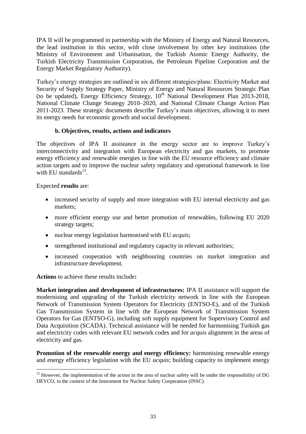IPA II will be programmed in partnership with the Ministry of Energy and Natural Resources, the lead institution in this sector, with close involvement by other key institutions (the Ministry of Environment and Urbanisation, the Turkish Atomic Energy Authority, the Turkish Electricity Transmission Corporation, the Petroleum Pipeline Corporation and the Energy Market Regulatory Authority).

Turkey's energy strategies are outlined in six different strategies/plans: Electricity Market and Security of Supply Strategy Paper, Ministry of Energy and Natural Resources Strategic Plan (to be updated), Energy Efficiency Strategy,  $10^{th}$  National Development Plan 2013-2018, National Climate Change Strategy 2010–2020, and National Climate Change Action Plan 2011-2023. These strategic documents describe Turkey's main objectives, allowing it to meet its energy needs for economic growth and social development.

#### **b. Objectives, results, actions and indicators**

The objectives of IPA II assistance in the energy sector are to improve Turkey's interconnectivity and integration with European electricity and gas markets, to promote energy efficiency and renewable energies in line with the EU resource efficiency and climate action targets and to improve the nuclear safety regulatory and operational framework in line with EU standards $^{12}$ .

Expected **results** are:

- increased security of supply and more integration with EU internal electricity and gas markets;
- more efficient energy use and better promotion of renewables, following EU 2020 strategy targets;
- nuclear energy legislation harmonised with EU *acquis*;
- strengthened institutional and regulatory capacity in relevant authorities;
- increased cooperation with neighbouring countries on market integration and infrastructure development.

**Actions** to achieve these results include**:**

**Market integration and development of infrastructures:** IPA II assistance will support the modernising and upgrading of the Turkish electricity network in line with the European Network of Transmission System Operators for Electricity (ENTSO-E), and of the Turkish Gas Transmission System in line with the European Network of Transmission System Operators for Gas (ENTSO-G), including soft supply equipment for Supervisory Control and Data Acquisition (SCADA). Technical assistance will be needed for harmonising Turkish gas and electricity codes with relevant EU network codes and for *acquis* alignment in the areas of electricity and gas.

**Promotion of the renewable energy and energy efficiency:** harmonising renewable energy and energy efficiency legislation with the EU *acquis*; building capacity to implement energy

 $\overline{a}$  $12$  However, the implementation of the action in the area of nuclear safety will be under the responsibility of DG DEVCO, in the context of the Instrument for Nuclear Safety Cooperation (INSC).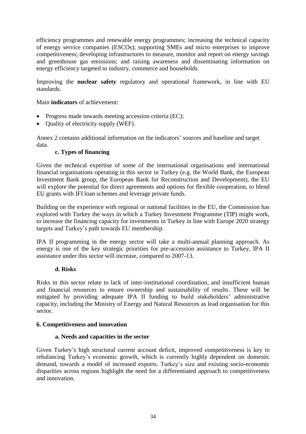efficiency programmes and renewable energy programmes; increasing the technical capacity of energy service companies (ESCOs); supporting SMEs and micro enterprises to improve competitiveness; developing infrastructures to measure, monitor and report on energy savings and greenhouse gas emissions; and raising awareness and disseminating information on energy efficiency targeted to industry, commerce and households.

Improving the **nuclear safety** regulatory and operational framework, in line with EU standards.

### Main **indicators** of achievement:

- Progress made towards meeting accession criteria (EC);
- Quality of electricity supply (WEF).

Annex 2 contains additional information on the indicators' sources and baseline and target data.

### **c. Types of financing**

Given the technical expertise of some of the international organisations and international financial organisations operating in this sector in Turkey (e.g. the World Bank, the European Investment Bank group, the European Bank for Reconstruction and Development), the EU will explore the potential for direct agreements and options for flexible cooperation, to blend EU grants with IFI loan schemes and leverage private funds.

Building on the experience with regional or national facilities in the EU, the Commission has explored with Turkey the ways in which a Turkey Investment Programme (TIP) might work, to increase the financing capacity for investments in Turkey in line with Europe 2020 strategy targets and Turkey's path towards EU membership.

IPA II programming in the energy sector will take a multi-annual planning approach. As energy is one of the key strategic priorities for pre-accession assistance to Turkey, IPA II assistance under this sector will increase, compared to 2007-13.

#### **d. Risks**

Risks in this sector relate to lack of inter-institutional coordination, and insufficient human and financial resources to ensure ownership and sustainability of results. These will be mitigated by providing adequate IPA II funding to build stakeholders' administrative capacity, including the Ministry of Energy and Natural Resources as lead organisation for this sector.

### **6. Competitiveness and innovation**

#### **a. Needs and capacities in the sector**

Given Turkey's high structural current account deficit, improved competitiveness is key to rebalancing Turkey's economic growth, which is currently highly dependent on domestic demand, towards a model of increased exports. Turkey's size and existing socio-economic disparities across regions highlight the need for a differentiated approach to competitiveness and innovation.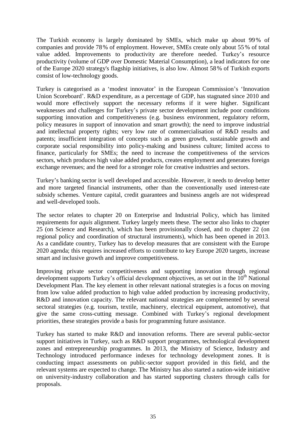The Turkish economy is largely dominated by SMEs, which make up about 99% of companies and provide 78% of employment. However, SMEs create only about 55% of total value added. Improvements to productivity are therefore needed. Turkey's resource productivity (volume of GDP over Domestic Material Consumption), a lead indicators for one of the Europe 2020 strategy's flagship initiatives, is also low. Almost 58% of Turkish exports consist of low-technology goods.

Turkey is categorised as a 'modest innovator' in the European Commission's 'Innovation Union Scoreboard'. R&D expenditure, as a percentage of GDP, has stagnated since 2010 and would more effectively support the necessary reforms if it were higher. Significant weaknesses and challenges for Turkey's private sector development include poor conditions supporting innovation and competitiveness (e.g. business environment, regulatory reform, policy measures in support of innovation and smart growth); the need to improve industrial and intellectual property rights; very low rate of commercialisation of R&D results and patents; insufficient integration of concepts such as green growth, sustainable growth and corporate social responsibility into policy-making and business culture; limited access to finance, particularly for SMEs; the need to increase the competitiveness of the services sectors, which produces high value added products, creates employment and generates foreign exchange revenues; and the need for a stronger role for creative industries and sectors.

Turkey's banking sector is well developed and accessible. However, it needs to develop better and more targeted financial instruments, other than the conventionally used interest-rate subsidy schemes. Venture capital, credit guarantees and business angels are not widespread and well-developed tools.

The sector relates to chapter 20 on Enterprise and Industrial Policy, which has limited requirements for *aquis* alignment. Turkey largely meets these. The sector also links to chapter 25 (on Science and Research), which has been provisionally closed, and to chapter 22 (on regional policy and coordination of structural instruments), which has been opened in 2013. As a candidate country, Turkey has to develop measures that are consistent with the Europe 2020 agenda; this requires increased efforts to contribute to key Europe 2020 targets, increase smart and inclusive growth and improve competitiveness.

Improving private sector competitiveness and supporting innovation through regional development supports Turkey's official development objectives, as set out in the  $10<sup>th</sup>$  National Development Plan. The key element in other relevant national strategies is a focus on moving from low value added production to high value added production by increasing productivity, R&D and innovation capacity. The relevant national strategies are complemented by several sectoral strategies (e.g. tourism, textile, machinery, electrical equipment, automotive), that give the same cross-cutting message. Combined with Turkey's regional development priorities, these strategies provide a basis for programming future assistance.

Turkey has started to make R&D and innovation reforms. There are several public-sector support initiatives in Turkey, such as R&D support programmes, technological development zones and entrepreneurship programmes. In 2013, the Ministry of Science, Industry and Technology introduced performance indexes for technology development zones. It is conducting impact assessments on public-sector support provided in this field, and the relevant systems are expected to change. The Ministry has also started a nation-wide initiative on university-industry collaboration and has started supporting clusters through calls for proposals.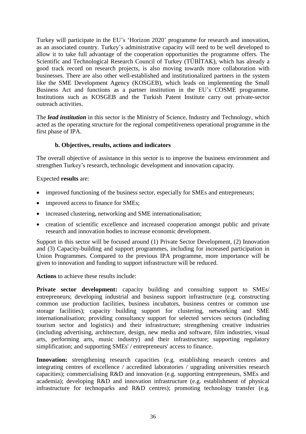Turkey will participate in the EU's 'Horizon 2020' programme for research and innovation, as an associated country. Turkey's administrative capacity will need to be well developed to allow it to take full advantage of the cooperation opportunities the programme offers. The Scientific and Technological Research Council of Turkey (TÜBİTAK), which has already a good track record on research projects, is also moving towards more collaboration with businesses. There are also other well-established and institutionalized partners in the system like the SME Development Agency (KOSGEB), which leads on implementing the Small Business Act and functions as a partner institution in the EU's COSME programme. Institutions such as KOSGEB and the Turkish Patent Institute carry out private-sector outreach activities.

The *lead institution* in this sector is the Ministry of Science, Industry and Technology, which acted as the operating structure for the regional competitiveness operational programme in the first phase of IPA.

#### **b. Objectives, results, actions and indicators**

The overall objective of assistance in this sector is to improve the business environment and strengthen Turkey's research, technologic development and innovation capacity.

Expected **results** are:

- improved functioning of the business sector, especially for SMEs and entrepreneurs;
- improved access to finance for SMEs;
- increased clustering, networking and SME internationalisation;
- creation of scientific excellence and increased cooperation amongst public and private research and innovation bodies to increase economic development.

Support in this sector will be focused around (1) Private Sector Development, (2) Innovation and (3) Capacity-building and support programmes, including for increased participation in Union Programmes. Compared to the previous IPA programme, more importance will be given to innovation and funding to support infrastructure will be reduced.

**Actions** to achieve these results include:

**Private sector development:** capacity building and consulting support to SMEs/ entrepreneurs; developing industrial and business support infrastructure (e.g. constructing common use production facilities, business incubators, business centres or common use storage facilities); capacity building support for clustering, networking and SME internationalisation; providing consultancy support for selected services sectors (including tourism sector and logistics) and their infrastructure; strengthening creative industries (including advertising, architecture, design, new media and software, film industries, visual arts, performing arts, music industry) and their infrastructure; supporting regulatory simplification; and supporting SMEs' / entrepreneurs' access to finance.

Innovation: strengthening research capacities (e.g. establishing research centres and integrating centres of excellence / accredited laboratories / upgrading universities research capacities); commercialising R&D and innovation (e.g. supporting entrepreneurs, SMEs and academia); developing R&D and innovation infrastructure (e.g. establishment of physical infrastructure for technoparks and R&D centres); promoting technology transfer (e.g.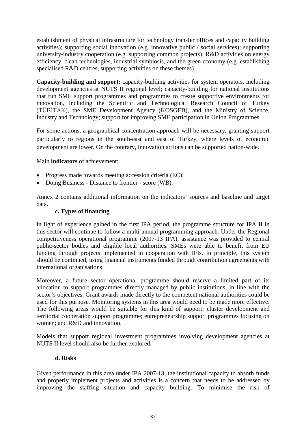establishment of physical infrastructure for technology transfer offices and capacity building activities); supporting social innovation (e.g. innovative public / social services); supporting university-industry cooperation (e.g. supporting common projects); R&D activities on energy efficiency, clean technologies, industrial symbiosis, and the green economy (e.g. establishing specialised R&D centres, supporting activities on these themes).

**Capacity-building and support:** capacity-building activities for system operators, including development agencies at NUTS II regional level; capacity-building for national institutions that run SME support programmes and programmes to create supportive environments for innovation, including the Scientific and Technological Research Council of Turkey (TÜBİTAK), the SME Development Agency (KOSGEB), and the Ministry of Science, Industry and Technology; support for improving SME participation in Union Programmes.

For some actions, a geographical concentration approach will be necessary, granting support particularly to regions in the south-east and east of Turkey, where levels of economic development are lower. On the contrary, innovation actions can be supported nation-wide.

### Main **indicators** of achievement:

- Progress made towards meeting accession criteria (EC);
- Doing Business Distance to frontier score (WB).

Annex 2 contains additional information on the indicators' sources and baseline and target data.

### **c. Types of financing**

In light of experience gained in the first IPA period, the programme structure for IPA II in this sector will continue to follow a multi-annual programming approach. Under the Regional competitiveness operational programme (2007-13 IPA), assistance was provided to central public-sector bodies and eligible local authorities. SMEs were able to benefit from EU funding through projects implemented in cooperation with IFIs. In principle, this system should be continued, using financial instruments funded through contribution agreements with international organisations.

Moreover, a future sector operational programme should reserve a limited part of its allocation to support programmes directly managed by public institutions, in line with the sector's objectives. Grant awards made directly to the competent national authorities could be used for this purpose. Monitoring systems in this area would need to be made more effective. The following areas would be suitable for this kind of support: cluster development and territorial cooperation support programme; entrepreneurship support programmes focusing on women; and R&D and innovation.

Models that support regional investment programmes involving development agencies at NUTS II level should also be further explored.

#### **d. Risks**

Given performance in this area under IPA 2007-13, the institutional capacity to absorb funds and properly implement projects and activities is a concern that needs to be addressed by improving the staffing situation and capacity building. To minimise the risk of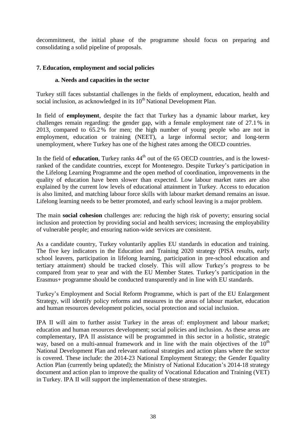decommitment, the initial phase of the programme should focus on preparing and consolidating a solid pipeline of proposals.

### <span id="page-37-0"></span>**7. Education, employment and social policies**

#### **a. Needs and capacities in the sector**

Turkey still faces substantial challenges in the fields of employment, education, health and social inclusion, as acknowledged in its 10<sup>th</sup> National Development Plan.

In field of **employment**, despite the fact that Turkey has a dynamic labour market, key challenges remain regarding: the gender gap, with a female employment rate of 27.1 % in 2013, compared to 65.2% for men; the high number of young people who are not in employment, education or training (NEET), a large informal sector; and long-term unemployment, where Turkey has one of the highest rates among the OECD countries.

In the field of **education**, Turkey ranks  $44<sup>th</sup>$  out of the 65 OECD countries, and is the lowestranked of the candidate countries, except for Montenegro. Despite Turkey's participation in the Lifelong Learning Programme and the open method of coordination, improvements in the quality of education have been slower than expected. Low labour market rates are also explained by the current low levels of educational attainment in Turkey. Access to education is also limited, and matching labour force skills with labour market demand remains an issue. Lifelong learning needs to be better promoted, and early school leaving is a major problem.

The main **social cohesion** challenges are: reducing the high risk of poverty; ensuring social inclusion and protection by providing social and health services; increasing the employability of vulnerable people; and ensuring nation-wide services are consistent.

As a candidate country, Turkey voluntarily applies EU standards in education and training. The five key indicators in the Education and Training 2020 strategy (PISA results, early school leavers, participation in lifelong learning, participation in pre-school education and tertiary attainment) should be tracked closely. This will allow Turkey's progress to be compared from year to year and with the EU Member States. Turkey's participation in the Erasmus+ programme should be conducted transparently and in line with EU standards.

Turkey's Employment and Social Reform Programme, which is part of the EU Enlargement Strategy, will identify policy reforms and measures in the areas of labour market, education and human resources development policies, social protection and social inclusion.

IPA II will aim to further assist Turkey in the areas of: employment and labour market; education and human resources development; social policies and inclusion. As these areas are complementary, IPA II assistance will be programmed in this sector in a holistic, strategic way, based on a multi-annual framework and in line with the main objectives of the  $10<sup>th</sup>$ National Development Plan and relevant national strategies and action plans where the sector is covered. These include: the 2014-23 National Employment Strategy; the Gender Equality Action Plan (currently being updated); the Ministry of National Education's 2014-18 strategy document and action plan to improve the quality of Vocational Education and Training (VET) in Turkey. IPA II will support the implementation of these strategies.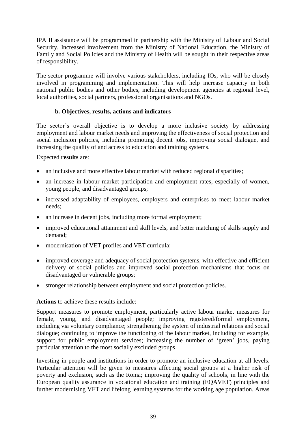IPA II assistance will be programmed in partnership with the Ministry of Labour and Social Security. Increased involvement from the Ministry of National Education, the Ministry of Family and Social Policies and the Ministry of Health will be sought in their respective areas of responsibility.

The sector programme will involve various stakeholders, including IOs, who will be closely involved in programming and implementation. This will help increase capacity in both national public bodies and other bodies, including development agencies at regional level, local authorities, social partners, professional organisations and NGOs.

### **b. Objectives, results, actions and indicators**

The sector's overall objective is to develop a more inclusive society by addressing employment and labour market needs and improving the effectiveness of social protection and social inclusion policies, including promoting decent jobs, improving social dialogue, and increasing the quality of and access to education and training systems.

#### Expected **results** are:

- an inclusive and more effective labour market with reduced regional disparities;
- an increase in labour market participation and employment rates, especially of women, young people, and disadvantaged groups;
- increased adaptability of employees, employers and enterprises to meet labour market needs;
- an increase in decent jobs, including more formal employment;
- improved educational attainment and skill levels, and better matching of skills supply and demand;
- modernisation of VET profiles and VET curricula;
- improved coverage and adequacy of social protection systems, with effective and efficient delivery of social policies and improved social protection mechanisms that focus on disadvantaged or vulnerable groups;
- stronger relationship between employment and social protection policies.

#### **Actions** to achieve these results include:

Support measures to promote employment, particularly active labour market measures for female, young, and disadvantaged people; improving registered/formal employment, including via voluntary compliance; strengthening the system of industrial relations and social dialogue; continuing to improve the functioning of the labour market, including for example, support for public employment services; increasing the number of 'green' jobs, paying particular attention to the most socially excluded groups.

Investing in people and institutions in order to promote an inclusive education at all levels. Particular attention will be given to measures affecting social groups at a higher risk of poverty and exclusion, such as the Roma; improving the quality of schools, in line with the European quality assurance in vocational education and training (EQAVET) principles and further modernising VET and lifelong learning systems for the working age population. Areas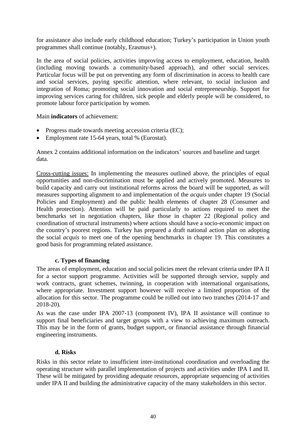for assistance also include early childhood education; Turkey's participation in Union youth programmes shall continue (notably, Erasmus+).

In the area of social policies, activities improving access to employment, education, health (including moving towards a community-based approach), and other social services. Particular focus will be put on preventing any form of discrimination in access to health care and social services, paying specific attention, where relevant, to social inclusion and integration of Roma; promoting social innovation and social entrepreneurship. Support for improving services caring for children, sick people and elderly people will be considered, to promote labour force participation by women.

Main **indicators** of achievement:

- Progress made towards meeting accession criteria (EC);
- Employment rate 15-64 years, total % (Eurostat).

Annex 2 contains additional information on the indicators' sources and baseline and target data.

Cross-cutting issues: In implementing the measures outlined above, the principles of equal opportunities and non-discrimination must be applied and actively promoted. Measures to build capacity and carry out institutional reforms across the board will be supported, as will measures supporting alignment to and implementation of the *acquis* under chapter 19 (Social Policies and Employment) and the public health elements of chapter 28 (Consumer and Health protection). Attention will be paid particularly to actions required to meet the benchmarks set in negotiation chapters, like those in chapter 22 (Regional policy and coordination of structural instruments) where actions should have a socio-economic impact on the country's poorest regions. Turkey has prepared a draft national action plan on adopting the social *acquis* to meet one of the opening benchmarks in chapter 19. This constitutes a good basis for programming related assistance.

### **c. Types of financing**

The areas of employment, education and social policies meet the relevant criteria under IPA II for a sector support programme. Activities will be supported through service, supply and work contracts, grant schemes, twinning, in cooperation with international organisations, where appropriate. Investment support however will receive a limited proportion of the allocation for this sector. The programme could be rolled out into two tranches (2014-17 and 2018-20).

As was the case under IPA 2007-13 (component IV), IPA II assistance will continue to support final beneficiaries and target groups with a view to achieving maximum outreach. This may be in the form of grants, budget support, or financial assistance through financial engineering instruments.

### **d. Risks**

Risks in this sector relate to insufficient inter-institutional coordination and overloading the operating structure with parallel implementation of projects and activities under IPA I and II. These will be mitigated by providing adequate resources, appropriate sequencing of activities under IPA II and building the administrative capacity of the many stakeholders in this sector.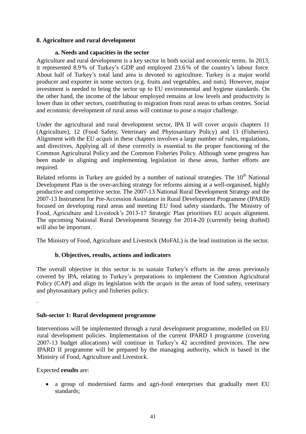### **8. Agriculture and rural development**

### **a. Needs and capacities in the sector**

Agriculture and rural development is a key sector in both social and economic terms. In 2013, it represented 8.9% of Turkey's GDP and employed 23.6% of the country's labour force. About half of Turkey's total land area is devoted to agriculture. Turkey is a major world producer and exporter in some sectors (e.g. fruits and vegetables, and nuts). However, major investment is needed to bring the sector up to EU environmental and hygiene standards. On the other hand, the income of the labour employed remains at low levels and productivity is lower than in other sectors, contributing to migration from rural areas to urban centres. Social and economic development of rural areas will continue to pose a major challenge.

Under the agricultural and rural development sector, IPA II will cover *acquis* chapters 11 (Agriculture), 12 (Food Safety, Veterinary and Phytosanitary Policy) and 13 (Fisheries). Alignment with the EU *acquis* in these chapters involves a large number of rules, regulations, and directives. Applying all of these correctly is essential to the proper functioning of the Common Agricultural Policy and the Common Fisheries Policy. Although some progress has been made in aligning and implementing legislation in these areas, further efforts are required.

Related reforms in Turkey are guided by a number of national strategies. The  $10<sup>th</sup>$  National Development Plan is the over-arching strategy for reforms aiming at a well-organised, highly productive and competitive sector. The 2007-13 National Rural Development Strategy and the 2007-13 Instrument for Pre-Accession Assistance in Rural Development Programme (IPARD) focused on developing rural areas and meeting EU food safety standards. The Ministry of Food, Agriculture and Livestock's 2013-17 Strategic Plan prioritises EU *acquis* alignment. The upcoming National Rural Development Strategy for 2014-20 (currently being drafted) will also be important.

The Ministry of Food, Agriculture and Livestock (MoFAL) is the lead institution in the sector.

### **b. Objectives, results, actions and indicators**

The overall objective in this sector is to sustain Turkey's efforts in the areas previously covered by IPA, relating to Turkey's preparations to implement the Common Agricultural Policy (CAP) and align its legislation with the *acquis* in the areas of food safety, veterinary and phytosanitary policy and fisheries policy.

#### **Sub-sector 1: Rural development programme**

Interventions will be implemented through a rural development programme, modelled on EU rural development policies. Implementation of the current IPARD I programme (covering 2007-13 budget allocations) will continue in Turkey's 42 accredited provinces. The new IPARD II programme will be prepared by the managing authority, which is based in the Ministry of Food, Agriculture and Livestock.

Expected **results** are:

.

 a group of modernised farms and agri-food enterprises that gradually meet EU standards;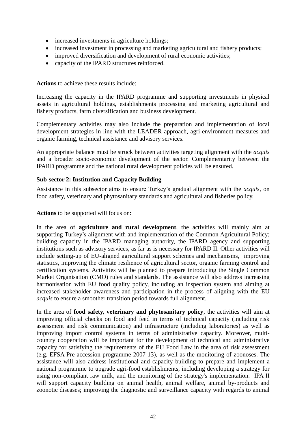- increased investments in agriculture holdings;
- increased investment in processing and marketing agricultural and fishery products;
- improved diversification and development of rural economic activities;
- capacity of the IPARD structures reinforced.

**Actions** to achieve these results include:

Increasing the capacity in the IPARD programme and supporting investments in physical assets in agricultural holdings, establishments processing and marketing agricultural and fishery products, farm diversification and business development.

Complementary activities may also include the preparation and implementation of local development strategies in line with the LEADER approach, agri-environment measures and organic farming, technical assistance and advisory services.

An appropriate balance must be struck between activities targeting alignment with the *acquis* and a broader socio-economic development of the sector. Complementarity between the IPARD programme and the national rural development policies will be ensured.

#### **Sub-sector 2: Institution and Capacity Building**

Assistance in this subsector aims to ensure Turkey's gradual alignment with the *acquis*, on food safety, veterinary and phytosanitary standards and agricultural and fisheries policy.

**Actions** to be supported will focus on:

In the area of **agriculture and rural development**, the activities will mainly aim at supporting Turkey's alignment with and implementation of the Common Agricultural Policy; building capacity in the IPARD managing authority, the IPARD agency and supporting institutions such as advisory services, as far as is necessary for IPARD II. Other activities will include setting-up of EU-aligned agricultural support schemes and mechanisms, improving statistics, improving the climate resilience of agricultural sector, organic farming control and certification systems. Activities will be planned to prepare introducing the Single Common Market Organisation (CMO) rules and standards. The assistance will also address increasing harmonisation with EU food quality policy, including an inspection system and aiming at increased stakeholder awareness and participation in the process of aligning with the EU *acquis* to ensure a smoother transition period towards full alignment.

In the area of **food safety, veterinary and phytosanitary policy***,* the activities will aim at improving official checks on food and feed in terms of technical capacity (including risk assessment and risk communication) and infrastructure (including laboratories) as well as improving import control systems in terms of administrative capacity. Moreover, multicountry cooperation will be important for the development of technical and administrative capacity for satisfying the requirements of the EU Food Law in the area of risk assessment (e.g. EFSA Pre-accession programme 2007-13), as well as the monitoring of zoonoses. The assistance will also address institutional and capacity building to prepare and implement a national programme to upgrade agri-food establishments, including developing a strategy for using non-compliant raw milk, and the monitoring of the strategy's implementation. IPA II will support capacity building on animal health, animal welfare, animal by-products and zoonotic diseases; improving the diagnostic and surveillance capacity with regards to animal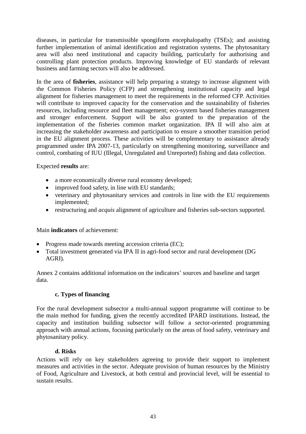diseases, in particular for transmissible spongiform encephalopathy (TSEs); and assisting further implementation of animal identification and registration systems. The phytosanitary area will also need institutional and capacity building, particularly for authorising and controlling plant protection products. Improving knowledge of EU standards of relevant business and farming sectors will also be addressed.

In the area of **fisheries***,* assistance will help preparing a strategy to increase alignment with the Common Fisheries Policy (CFP) and strengthening institutional capacity and legal alignment for fisheries management to meet the requirements in the reformed CFP. Activities will contribute to improved capacity for the conservation and the sustainability of fisheries resources, including resource and fleet management; eco-system based fisheries management and stronger enforcement. Support will be also granted to the preparation of the implementation of the fisheries common market organization. IPA II will also aim at increasing the stakeholder awareness and participation to ensure a smoother transition period in the EU alignment process. These activities will be complementary to assistance already programmed under IPA 2007-13, particularly on strengthening monitoring, surveillance and control, combating of IUU (Illegal, Unregulated and Unreported) fishing and data collection.

### Expected **results** are:

- a more economically diverse rural economy developed;
- improved food safety, in line with EU standards;
- veterinary and phytosanitary services and controls in line with the EU requirements implemented;
- restructuring and *acquis* alignment of agriculture and fisheries sub-sectors supported.

#### Main **indicators** of achievement:

- Progress made towards meeting accession criteria (EC);
- Total investment generated via IPA II in agri-food sector and rural development (DG AGRI).

Annex 2 contains additional information on the indicators' sources and baseline and target data.

#### **c. Types of financing**

For the rural development subsector a multi-annual support programme will continue to be the main method for funding, given the recently accredited IPARD institutions. Instead, the capacity and institution building subsector will follow a sector-oriented programming approach with annual actions, focusing particularly on the areas of food safety, veterinary and phytosanitary policy.

#### **d. Risks**

Actions will rely on key stakeholders agreeing to provide their support to implement measures and activities in the sector. Adequate provision of human resources by the Ministry of Food, Agriculture and Livestock, at both central and provincial level, will be essential to sustain results.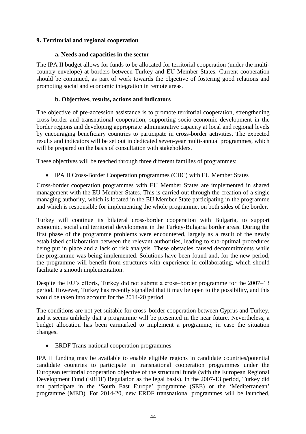### **9. Territorial and regional cooperation**

### **a. Needs and capacities in the sector**

The IPA II budget allows for funds to be allocated for territorial cooperation (under the multicountry envelope) at borders between Turkey and EU Member States. Current cooperation should be continued, as part of work towards the objective of fostering good relations and promoting social and economic integration in remote areas.

### **b. Objectives, results, actions and indicators**

The objective of pre-accession assistance is to promote territorial cooperation, strengthening cross-border and transnational cooperation, supporting socio-economic development in the border regions and developing appropriate administrative capacity at local and regional levels by encouraging beneficiary countries to participate in cross-border activities. The expected results and indicators will be set out in dedicated seven-year multi-annual programmes, which will be prepared on the basis of consultation with stakeholders.

These objectives will be reached through three different families of programmes:

IPA II Cross-Border Cooperation programmes (CBC) with EU Member States

Cross-border cooperation programmes with EU Member States are implemented in shared management with the EU Member States. This is carried out through the creation of a single managing authority, which is located in the EU Member State participating in the programme and which is responsible for implementing the whole programme, on both sides of the border.

Turkey will continue its bilateral cross-border cooperation with Bulgaria, to support economic, social and territorial development in the Turkey-Bulgaria border areas. During the first phase of the programme problems were encountered, largely as a result of the newly established collaboration between the relevant authorities, leading to sub-optimal procedures being put in place and a lack of risk analysis. These obstacles caused decommitments while the programme was being implemented. Solutions have been found and, for the new period, the programme will benefit from structures with experience in collaborating, which should facilitate a smooth implementation.

Despite the EU's efforts, Turkey did not submit a cross–border programme for the 2007–13 period. However, Turkey has recently signalled that it may be open to the possibility, and this would be taken into account for the 2014-20 period.

The conditions are not yet suitable for cross–border cooperation between Cyprus and Turkey, and it seems unlikely that a programme will be presented in the near future. Nevertheless, a budget allocation has been earmarked to implement a programme, in case the situation changes.

ERDF Trans-national cooperation programmes

IPA II funding may be available to enable eligible regions in candidate countries/potential candidate countries to participate in transnational cooperation programmes under the European territorial cooperation objective of the structural funds (with the European Regional Development Fund (ERDF) Regulation as the legal basis). In the 2007-13 period, Turkey did not participate in the 'South East Europe' programme (SEE) or the 'Mediterranean' programme (MED). For 2014-20, new ERDF transnational programmes will be launched,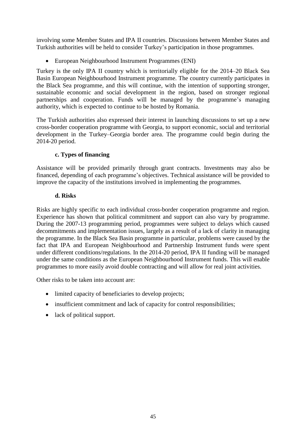involving some Member States and IPA II countries. Discussions between Member States and Turkish authorities will be held to consider Turkey's participation in those programmes.

European Neighbourhood Instrument Programmes (ENI)

Turkey is the only IPA II country which is territorially eligible for the 2014–20 Black Sea Basin European Neighbourhood Instrument programme. The country currently participates in the Black Sea programme, and this will continue, with the intention of supporting stronger, sustainable economic and social development in the region, based on stronger regional partnerships and cooperation. Funds will be managed by the programme's managing authority, which is expected to continue to be hosted by Romania.

The Turkish authorities also expressed their interest in launching discussions to set up a new cross-border cooperation programme with Georgia, to support economic, social and territorial development in the Turkey–Georgia border area. The programme could begin during the 2014-20 period.

### **c. Types of financing**

Assistance will be provided primarily through grant contracts. Investments may also be financed, depending of each programme's objectives. Technical assistance will be provided to improve the capacity of the institutions involved in implementing the programmes.

### **d. Risks**

Risks are highly specific to each individual cross-border cooperation programme and region. Experience has shown that political commitment and support can also vary by programme. During the 2007-13 programming period, programmes were subject to delays which caused decommitments and implementation issues, largely as a result of a lack of clarity in managing the programme. In the Black Sea Basin programme in particular, problems were caused by the fact that IPA and European Neighbourhood and Partnership Instrument funds were spent under different conditions/regulations. In the 2014-20 period, IPA II funding will be managed under the same conditions as the European Neighbourhood Instrument funds. This will enable programmes to more easily avoid double contracting and will allow for real joint activities.

Other risks to be taken into account are:

- limited capacity of beneficiaries to develop projects;
- insufficient commitment and lack of capacity for control responsibilities;
- lack of political support.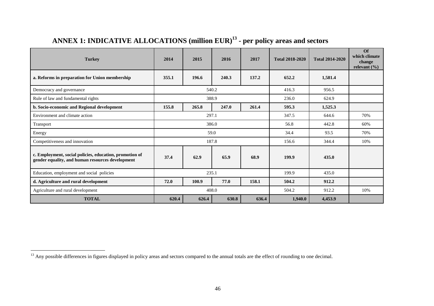## **ANNEX 1: INDICATIVE ALLOCATIONS (million EUR) 13 - per policy areas and sectors**

| <b>Turkey</b>                                                                                               | 2014  | 2015  | 2016  | 2017  | <b>Total 2018-2020</b> | <b>Total 2014-2020</b> | $\Omega$<br>which climate<br>change<br>relevant $(\% )$ |
|-------------------------------------------------------------------------------------------------------------|-------|-------|-------|-------|------------------------|------------------------|---------------------------------------------------------|
| a. Reforms in preparation for Union membership                                                              | 355.1 | 196.6 | 240.3 | 137.2 | 652.2                  | 1,581.4                |                                                         |
| Democracy and governance                                                                                    |       | 540.2 |       |       | 416.3                  | 956.5                  |                                                         |
| Rule of law and fundamental rights                                                                          | 388.9 |       |       |       | 236.0                  | 624.9                  |                                                         |
| b. Socio-economic and Regional development                                                                  | 155.8 | 265.8 | 247.0 | 261.4 | 595.3                  | 1,525.3                |                                                         |
| Environment and climate action                                                                              | 297.1 |       |       |       | 347.5                  | 644.6                  | 70%                                                     |
| Transport                                                                                                   | 386.0 |       |       |       | 56.8                   | 442.8                  | 60%                                                     |
| Energy                                                                                                      | 59.0  |       |       |       | 34.4                   | 93.5                   | 70%                                                     |
| Competitiveness and innovation                                                                              | 187.8 |       |       |       | 156.6                  | 344.4                  | 10%                                                     |
| c. Employment, social policies, education, promotion of<br>gender equality, and human resources development | 37.4  | 62.9  | 65.9  | 68.9  | 199.9                  | 435.0                  |                                                         |
| Education, employment and social policies                                                                   | 235.1 |       |       |       | 199.9                  | 435.0                  |                                                         |
| d. Agriculture and rural development                                                                        | 72.0  | 100.9 | 77.0  | 158.1 | 504.2                  | 912.2                  |                                                         |
| Agriculture and rural development                                                                           | 408.0 |       |       |       | 504.2                  | 912.2                  | 10%                                                     |
| <b>TOTAL</b>                                                                                                | 620.4 | 626.4 | 630.8 | 636.4 | 1,940.0                | 4,453.9                |                                                         |

 $\overline{a}$ 

<sup>&</sup>lt;sup>13</sup> Any possible differences in figures displayed in policy areas and sectors compared to the annual totals are the effect of rounding to one decimal.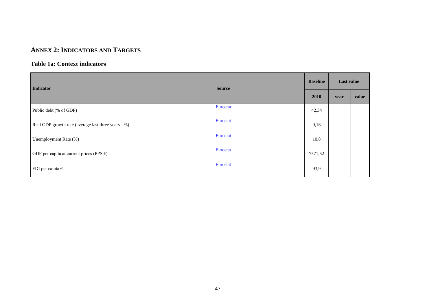### **ANNEX 2: INDICATORS AND TARGETS**

### **Table 1a: Context indicators**

| <b>Indicator</b>                                    | <b>Source</b>   |         | Last value |       |
|-----------------------------------------------------|-----------------|---------|------------|-------|
|                                                     |                 | 2010    | year       | value |
| Public debt (% of GDP)                              | Eurostat        | 42,34   |            |       |
| Real GDP growth rate (average last three years - %) | Eurostat        | 9,16    |            |       |
| Unemployment Rate (%)                               | Eurostat        | 10,8    |            |       |
| GDP per capita at current prices (PPS $\epsilon$ )  | <b>Eurostat</b> | 7571,52 |            |       |
| FDI per capita $\epsilon$                           | <b>Eurostat</b> | 93,9    |            |       |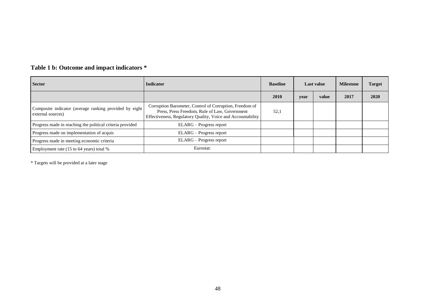| <b>Sector</b>                                                               | <b>Indicator</b>                                                                                                                                                        | <b>Baseline</b> | <b>Last value</b> |       | <b>Milestone</b> | <b>Target</b> |
|-----------------------------------------------------------------------------|-------------------------------------------------------------------------------------------------------------------------------------------------------------------------|-----------------|-------------------|-------|------------------|---------------|
|                                                                             |                                                                                                                                                                         | 2010            | vear              | value | 2017             | 2020          |
| Composite indicator (average ranking provided by eight<br>external sources) | Corruption Barometer, Control of Corruption, Freedom of<br>Press, Press Freedom, Rule of Law, Government<br>Effectiveness, Regulatory Quality, Voice and Accountability | 52,1            |                   |       |                  |               |
| Progress made in reaching the political criteria provided                   | ELARG – Progress report                                                                                                                                                 |                 |                   |       |                  |               |
| Progress made on implementation of acquis                                   | ELARG – Progress report                                                                                                                                                 |                 |                   |       |                  |               |
| Progress made in meeting economic criteria                                  | ELARG - Progress report                                                                                                                                                 |                 |                   |       |                  |               |
| Employment rate (15 to 64 years) total %                                    | Eurostat:                                                                                                                                                               |                 |                   |       |                  |               |

### **Table 1 b: Outcome and impact indicators \***

\* Targets will be provided at a later stage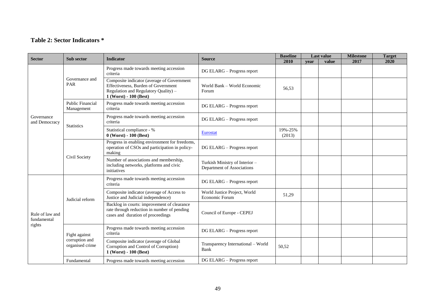### **Table 2: Sector Indicators \***

| <b>Sector</b>                            |                                                    | <b>Indicator</b>                                                                                                                                    | <b>Source</b>                                                | <b>Baseline</b>   | <b>Last value</b> |       | <b>Milestone</b> | <b>Target</b> |
|------------------------------------------|----------------------------------------------------|-----------------------------------------------------------------------------------------------------------------------------------------------------|--------------------------------------------------------------|-------------------|-------------------|-------|------------------|---------------|
|                                          | Sub sector                                         |                                                                                                                                                     |                                                              | 2010              | vear              | value | 2017             | 2020          |
| Governance<br>and Democracy              | Governance and<br>PAR                              | Progress made towards meeting accession<br>criteria                                                                                                 | DG ELARG - Progress report                                   |                   |                   |       |                  |               |
|                                          |                                                    | Composite indicator (average of Government<br>Effectiveness, Burden of Government<br>Regulation and Regulatory Quality) -<br>1 (Worst) - 100 (Best) | World Bank - World Economic<br>Forum                         | 56,53             |                   |       |                  |               |
|                                          | <b>Public Financial</b><br>Management              | Progress made towards meeting accession<br>criteria                                                                                                 | DG ELARG - Progress report                                   |                   |                   |       |                  |               |
|                                          | <b>Statistics</b>                                  | Progress made towards meeting accession<br>criteria                                                                                                 | DG ELARG - Progress report                                   |                   |                   |       |                  |               |
|                                          |                                                    | Statistical compliance - %<br>$0$ (Worst) - $100$ (Best)                                                                                            | <b>Eurostat</b>                                              | 19%-25%<br>(2013) |                   |       |                  |               |
|                                          | Civil Society                                      | Progress in enabling environment for freedoms,<br>operation of CSOs and participation in policy-<br>making                                          | DG ELARG - Progress report                                   |                   |                   |       |                  |               |
|                                          |                                                    | Number of associations and membership,<br>including networks, platforms and civic<br>initiatives                                                    | Turkish Ministry of Interior -<br>Department of Associations |                   |                   |       |                  |               |
| Rule of law and<br>fundamental<br>rights | Judicial reform                                    | Progress made towards meeting accession<br>criteria                                                                                                 | DG ELARG - Progress report                                   |                   |                   |       |                  |               |
|                                          |                                                    | Composite indicator (average of Access to<br>Justice and Judicial independence)                                                                     | World Justice Project, World<br>Economic Forum               | 51,29             |                   |       |                  |               |
|                                          |                                                    | Backlog in courts: improvement of clearance<br>rate through reduction in number of pending<br>cases and duration of proceedings                     | Council of Europe - CEPEJ                                    |                   |                   |       |                  |               |
|                                          | Fight against<br>corruption and<br>organised crime | Progress made towards meeting accession<br>criteria                                                                                                 | DG ELARG - Progress report                                   |                   |                   |       |                  |               |
|                                          |                                                    | Composite indicator (average of Global<br>Corruption and Control of Corruption)<br>1 (Worst) - 100 (Best)                                           | Transparency International - World<br>Bank                   | 50,52             |                   |       |                  |               |
|                                          | Fundamental                                        | Progress made towards meeting accession                                                                                                             | DG ELARG - Progress report                                   |                   |                   |       |                  |               |